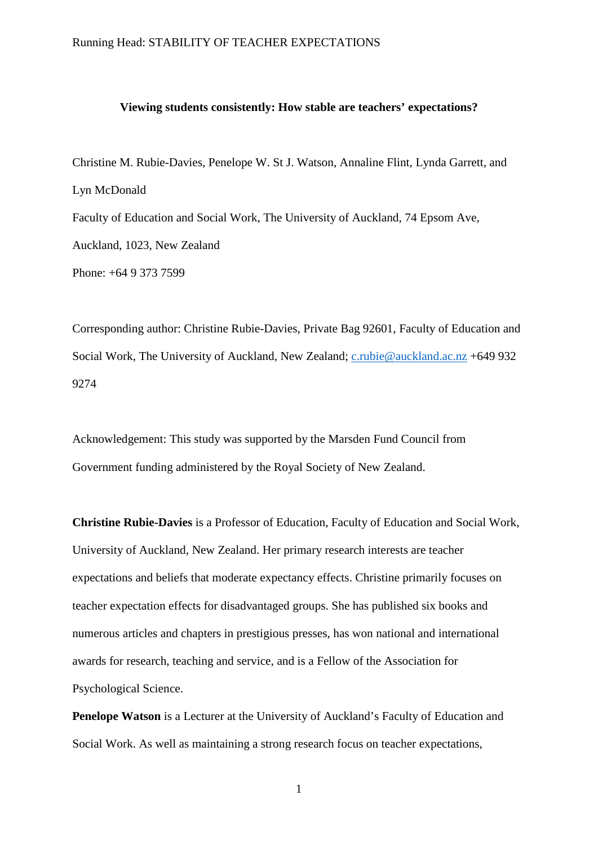## **Viewing students consistently: How stable are teachers' expectations?**

Christine M. Rubie-Davies, Penelope W. St J. Watson, Annaline Flint, Lynda Garrett, and Lyn McDonald Faculty of Education and Social Work, The University of Auckland, 74 Epsom Ave, Auckland, 1023, New Zealand Phone: +64 9 373 7599

Corresponding author: Christine Rubie-Davies, Private Bag 92601, Faculty of Education and Social Work, The University of Auckland, New Zealand; [c.rubie@auckland.ac.nz](mailto:c.rubie@auckland.ac.nz) +649 932 9274

Acknowledgement: This study was supported by the Marsden Fund Council from Government funding administered by the Royal Society of New Zealand.

**Christine Rubie-Davies** is a Professor of Education, Faculty of Education and Social Work, University of Auckland, New Zealand. Her primary research interests are teacher expectations and beliefs that moderate expectancy effects. Christine primarily focuses on teacher expectation effects for disadvantaged groups. She has published six books and numerous articles and chapters in prestigious presses, has won national and international awards for research, teaching and service, and is a Fellow of the Association for Psychological Science.

**Penelope Watson** is a Lecturer at the University of Auckland's Faculty of Education and Social Work. As well as maintaining a strong research focus on teacher expectations,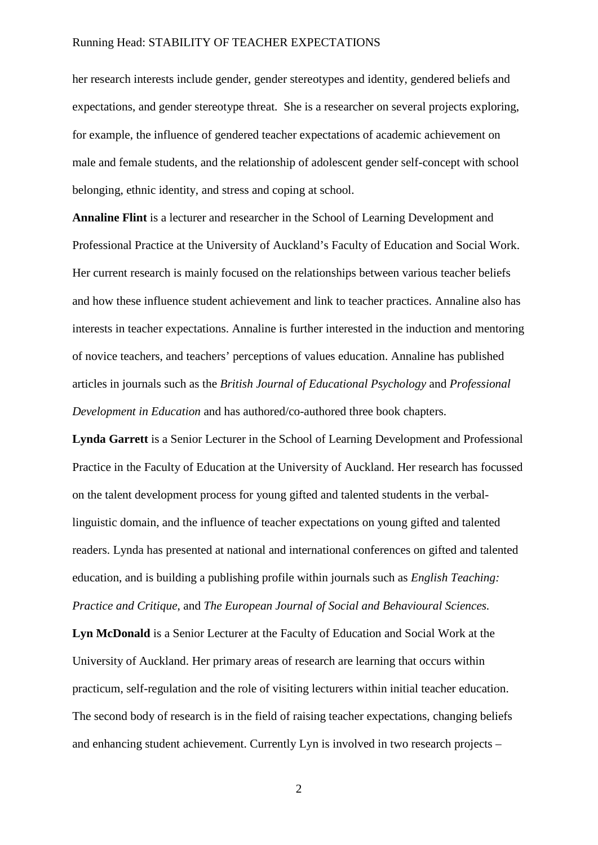her research interests include gender, gender stereotypes and identity, gendered beliefs and expectations, and gender stereotype threat. She is a researcher on several projects exploring, for example, the influence of gendered teacher expectations of academic achievement on male and female students, and the relationship of adolescent gender self-concept with school belonging, ethnic identity, and stress and coping at school.

**Annaline Flint** is a lecturer and researcher in the School of Learning Development and Professional Practice at the University of Auckland's Faculty of Education and Social Work. Her current research is mainly focused on the relationships between various teacher beliefs and how these influence student achievement and link to teacher practices. Annaline also has interests in teacher expectations. Annaline is further interested in the induction and mentoring of novice teachers, and teachers' perceptions of values education. Annaline has published articles in journals such as the *British Journal of Educational Psychology* and *Professional Development in Education* and has authored/co-authored three book chapters.

**Lynda Garrett** is a Senior Lecturer in the School of Learning Development and Professional Practice in the Faculty of Education at the University of Auckland. Her research has focussed on the talent development process for young gifted and talented students in the verballinguistic domain, and the influence of teacher expectations on young gifted and talented readers. Lynda has presented at national and international conferences on gifted and talented education, and is building a publishing profile within journals such as *English Teaching: Practice and Critique*, and *The European Journal of Social and Behavioural Sciences.*

**Lyn McDonald** is a Senior Lecturer at the Faculty of Education and Social Work at the University of Auckland. Her primary areas of research are learning that occurs within practicum, self-regulation and the role of visiting lecturers within initial teacher education. The second body of research is in the field of raising teacher expectations, changing beliefs and enhancing student achievement. Currently Lyn is involved in two research projects –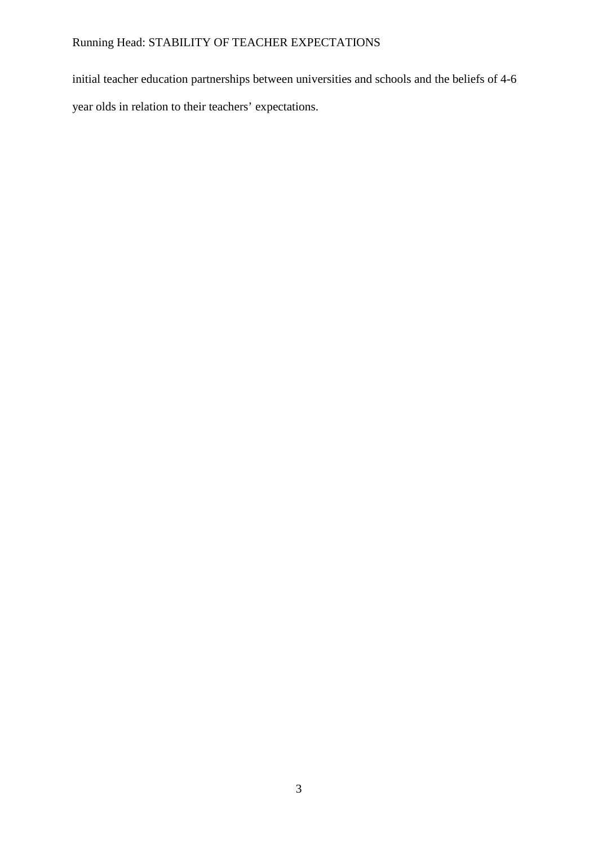initial teacher education partnerships between universities and schools and the beliefs of 4-6 year olds in relation to their teachers' expectations.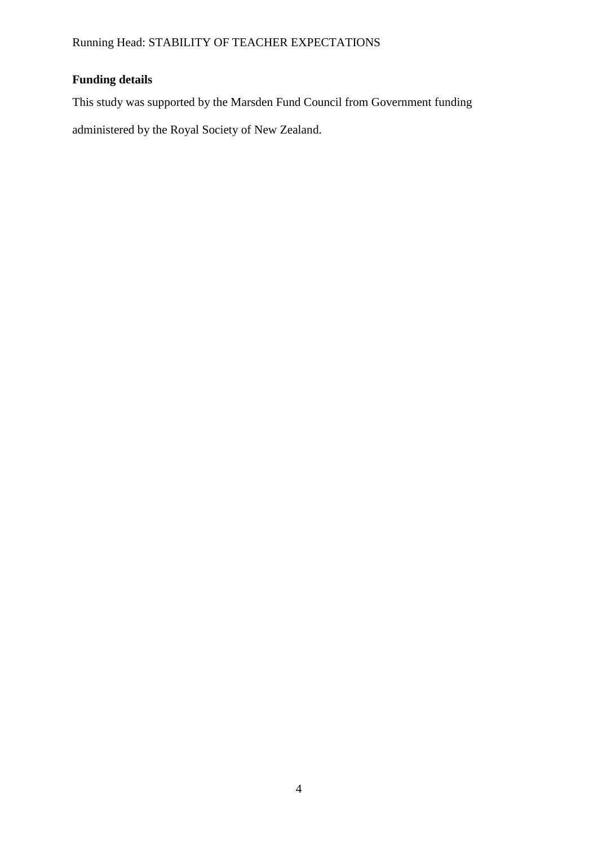## **Funding details**

This study was supported by the Marsden Fund Council from Government funding

administered by the Royal Society of New Zealand.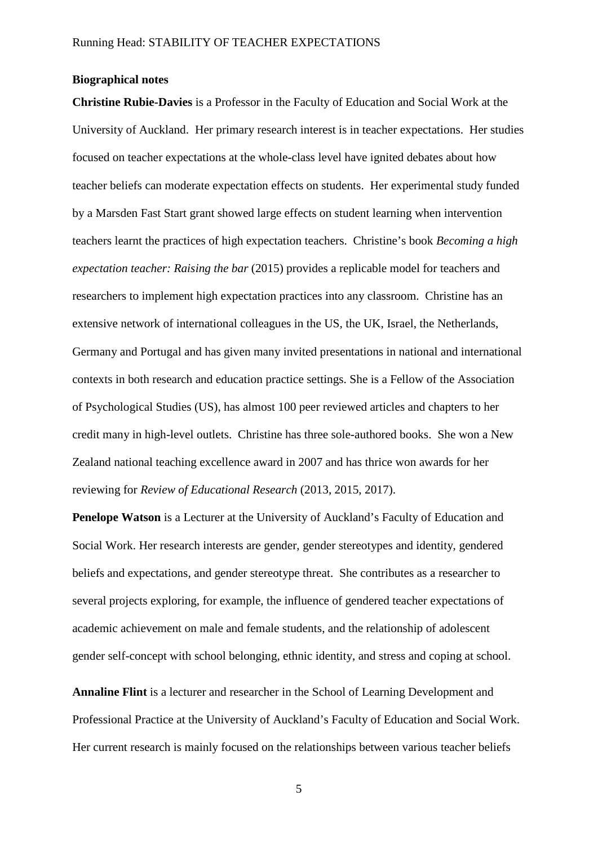#### **Biographical notes**

**Christine Rubie-Davies** is a Professor in the Faculty of Education and Social Work at the University of Auckland. Her primary research interest is in teacher expectations. Her studies focused on teacher expectations at the whole-class level have ignited debates about how teacher beliefs can moderate expectation effects on students. Her experimental study funded by a Marsden Fast Start grant showed large effects on student learning when intervention teachers learnt the practices of high expectation teachers. Christine's book *Becoming a high expectation teacher: Raising the bar* (2015) provides a replicable model for teachers and researchers to implement high expectation practices into any classroom. Christine has an extensive network of international colleagues in the US, the UK, Israel, the Netherlands, Germany and Portugal and has given many invited presentations in national and international contexts in both research and education practice settings. She is a Fellow of the Association of Psychological Studies (US), has almost 100 peer reviewed articles and chapters to her credit many in high-level outlets. Christine has three sole-authored books. She won a New Zealand national teaching excellence award in 2007 and has thrice won awards for her reviewing for *Review of Educational Research* (2013, 2015, 2017).

**Penelope Watson** is a Lecturer at the University of Auckland's Faculty of Education and Social Work. Her research interests are gender, gender stereotypes and identity, gendered beliefs and expectations, and gender stereotype threat. She contributes as a researcher to several projects exploring, for example, the influence of gendered teacher expectations of academic achievement on male and female students, and the relationship of adolescent gender self-concept with school belonging, ethnic identity, and stress and coping at school.

**Annaline Flint** is a lecturer and researcher in the School of Learning Development and Professional Practice at the University of Auckland's Faculty of Education and Social Work. Her current research is mainly focused on the relationships between various teacher beliefs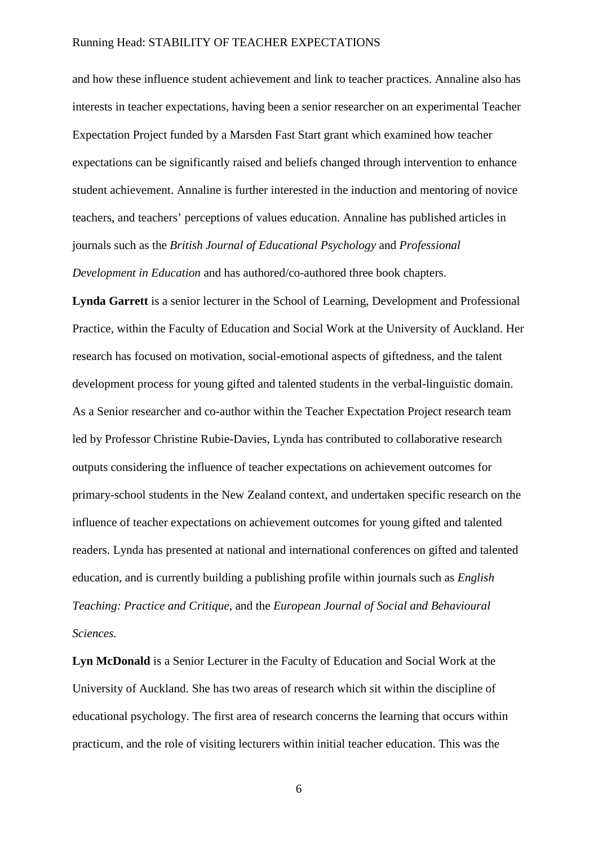and how these influence student achievement and link to teacher practices. Annaline also has interests in teacher expectations, having been a senior researcher on an experimental Teacher Expectation Project funded by a Marsden Fast Start grant which examined how teacher expectations can be significantly raised and beliefs changed through intervention to enhance student achievement. Annaline is further interested in the induction and mentoring of novice teachers, and teachers' perceptions of values education. Annaline has published articles in journals such as the *British Journal of Educational Psychology* and *Professional* 

*Development in Education* and has authored/co-authored three book chapters.

**Lynda Garrett** is a senior lecturer in the School of Learning, Development and Professional Practice, within the Faculty of Education and Social Work at the University of Auckland. Her research has focused on motivation, social-emotional aspects of giftedness, and the talent development process for young gifted and talented students in the verbal-linguistic domain. As a Senior researcher and co-author within the Teacher Expectation Project research team led by Professor Christine Rubie-Davies, Lynda has contributed to collaborative research outputs considering the influence of teacher expectations on achievement outcomes for primary-school students in the New Zealand context, and undertaken specific research on the influence of teacher expectations on achievement outcomes for young gifted and talented readers. Lynda has presented at national and international conferences on gifted and talented education, and is currently building a publishing profile within journals such as *English Teaching: Practice and Critique*, and the *European Journal of Social and Behavioural Sciences.*

**Lyn McDonald** is a Senior Lecturer in the Faculty of Education and Social Work at the University of Auckland. She has two areas of research which sit within the discipline of educational psychology. The first area of research concerns the learning that occurs within practicum, and the role of visiting lecturers within initial teacher education. This was the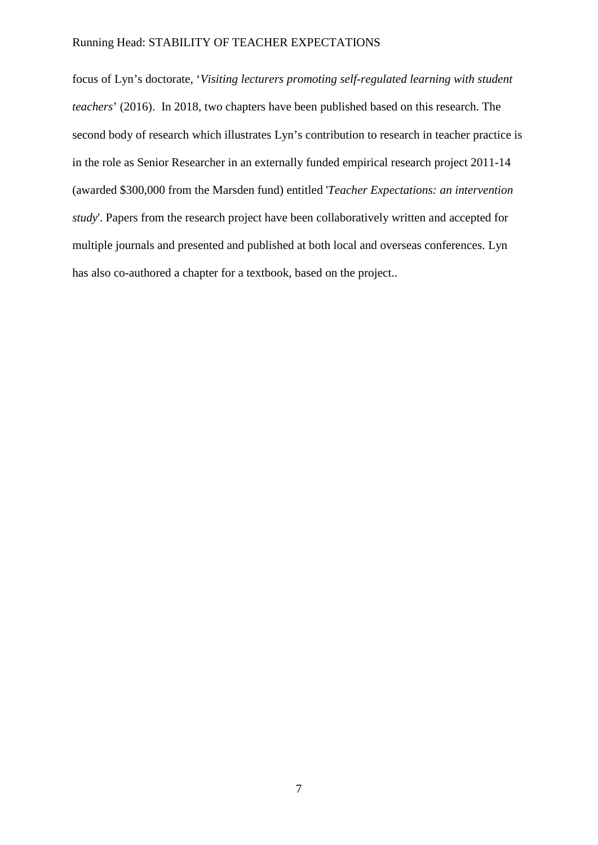focus of Lyn's doctorate, '*Visiting lecturers promoting self-regulated learning with student teachers*' (2016). In 2018, two chapters have been published based on this research. The second body of research which illustrates Lyn's contribution to research in teacher practice is in the role as Senior Researcher in an externally funded empirical research project 2011-14 (awarded \$300,000 from the Marsden fund) entitled '*Teacher Expectations: an intervention study*'. Papers from the research project have been collaboratively written and accepted for multiple journals and presented and published at both local and overseas conferences. Lyn has also co-authored a chapter for a textbook, based on the project..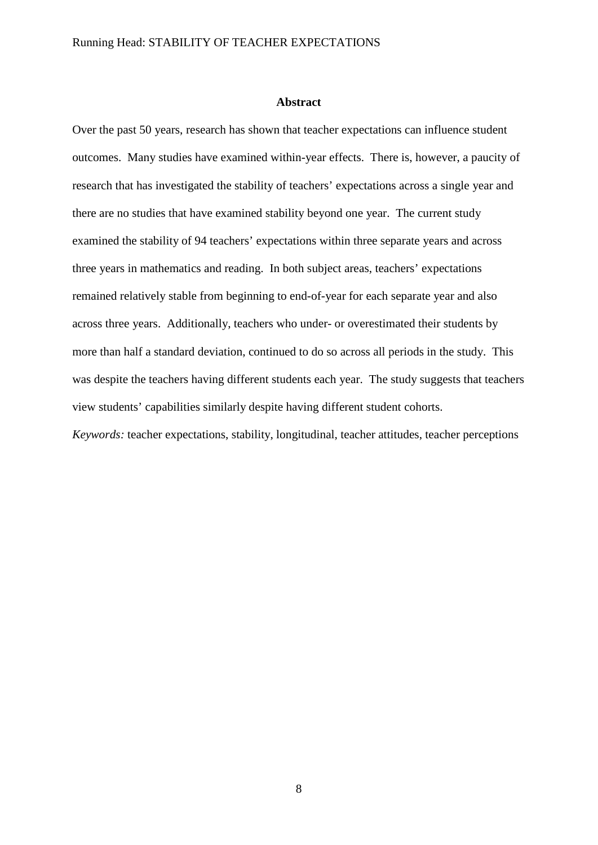#### **Abstract**

Over the past 50 years, research has shown that teacher expectations can influence student outcomes. Many studies have examined within-year effects. There is, however, a paucity of research that has investigated the stability of teachers' expectations across a single year and there are no studies that have examined stability beyond one year. The current study examined the stability of 94 teachers' expectations within three separate years and across three years in mathematics and reading. In both subject areas, teachers' expectations remained relatively stable from beginning to end-of-year for each separate year and also across three years. Additionally, teachers who under- or overestimated their students by more than half a standard deviation, continued to do so across all periods in the study. This was despite the teachers having different students each year. The study suggests that teachers view students' capabilities similarly despite having different student cohorts.

*Keywords:* teacher expectations, stability, longitudinal, teacher attitudes, teacher perceptions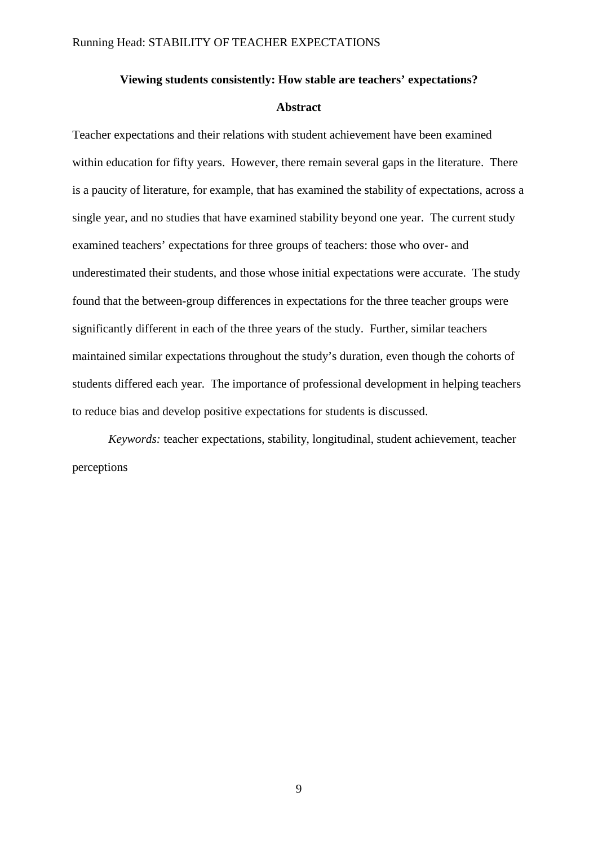#### **Viewing students consistently: How stable are teachers' expectations?**

## **Abstract**

Teacher expectations and their relations with student achievement have been examined within education for fifty years. However, there remain several gaps in the literature. There is a paucity of literature, for example, that has examined the stability of expectations, across a single year, and no studies that have examined stability beyond one year. The current study examined teachers' expectations for three groups of teachers: those who over- and underestimated their students, and those whose initial expectations were accurate. The study found that the between-group differences in expectations for the three teacher groups were significantly different in each of the three years of the study. Further, similar teachers maintained similar expectations throughout the study's duration, even though the cohorts of students differed each year. The importance of professional development in helping teachers to reduce bias and develop positive expectations for students is discussed.

*Keywords:* teacher expectations, stability, longitudinal, student achievement, teacher perceptions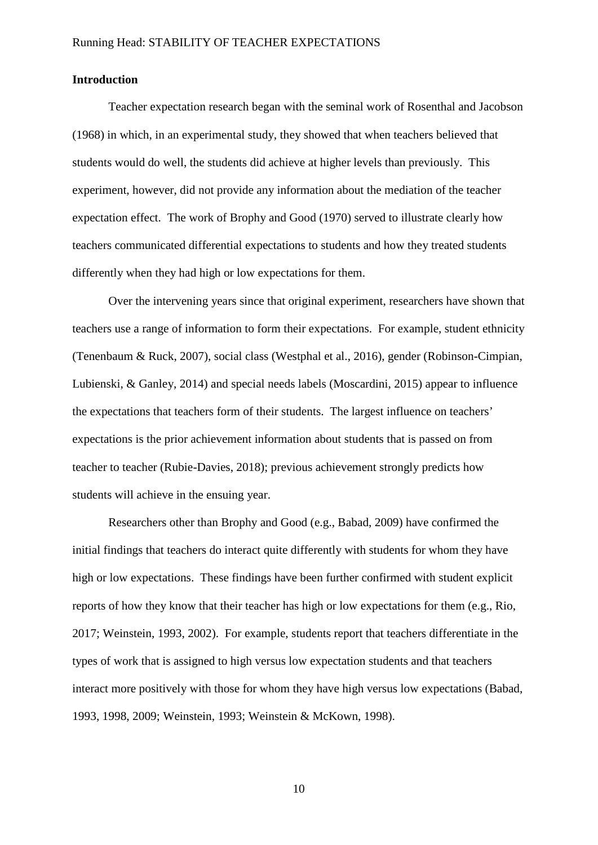## **Introduction**

Teacher expectation research began with the seminal work of Rosenthal and Jacobson (1968) in which, in an experimental study, they showed that when teachers believed that students would do well, the students did achieve at higher levels than previously. This experiment, however, did not provide any information about the mediation of the teacher expectation effect. The work of Brophy and Good (1970) served to illustrate clearly how teachers communicated differential expectations to students and how they treated students differently when they had high or low expectations for them.

Over the intervening years since that original experiment, researchers have shown that teachers use a range of information to form their expectations. For example, student ethnicity (Tenenbaum & Ruck, 2007), social class (Westphal et al., 2016), gender (Robinson-Cimpian, Lubienski, & Ganley, 2014) and special needs labels (Moscardini, 2015) appear to influence the expectations that teachers form of their students. The largest influence on teachers' expectations is the prior achievement information about students that is passed on from teacher to teacher (Rubie-Davies, 2018); previous achievement strongly predicts how students will achieve in the ensuing year.

Researchers other than Brophy and Good (e.g., Babad, 2009) have confirmed the initial findings that teachers do interact quite differently with students for whom they have high or low expectations. These findings have been further confirmed with student explicit reports of how they know that their teacher has high or low expectations for them (e.g., Rio, 2017; Weinstein, 1993, 2002). For example, students report that teachers differentiate in the types of work that is assigned to high versus low expectation students and that teachers interact more positively with those for whom they have high versus low expectations (Babad, 1993, 1998, 2009; Weinstein, 1993; Weinstein & McKown, 1998).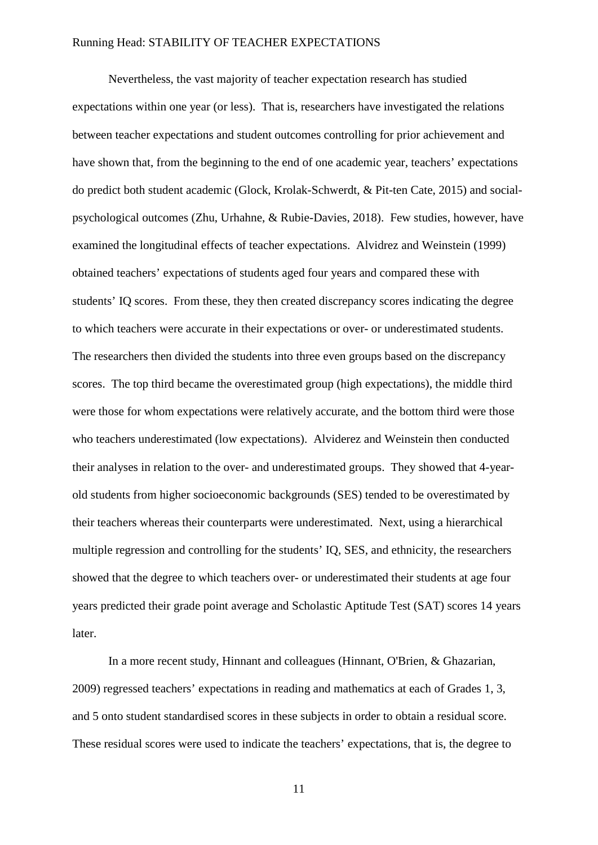Nevertheless, the vast majority of teacher expectation research has studied expectations within one year (or less). That is, researchers have investigated the relations between teacher expectations and student outcomes controlling for prior achievement and have shown that, from the beginning to the end of one academic year, teachers' expectations do predict both student academic (Glock, Krolak-Schwerdt, & Pit-ten Cate, 2015) and socialpsychological outcomes (Zhu, Urhahne, & Rubie-Davies, 2018). Few studies, however, have examined the longitudinal effects of teacher expectations. Alvidrez and Weinstein (1999) obtained teachers' expectations of students aged four years and compared these with students' IQ scores. From these, they then created discrepancy scores indicating the degree to which teachers were accurate in their expectations or over- or underestimated students. The researchers then divided the students into three even groups based on the discrepancy scores. The top third became the overestimated group (high expectations), the middle third were those for whom expectations were relatively accurate, and the bottom third were those who teachers underestimated (low expectations). Alviderez and Weinstein then conducted their analyses in relation to the over- and underestimated groups. They showed that 4-yearold students from higher socioeconomic backgrounds (SES) tended to be overestimated by their teachers whereas their counterparts were underestimated. Next, using a hierarchical multiple regression and controlling for the students' IQ, SES, and ethnicity, the researchers showed that the degree to which teachers over- or underestimated their students at age four years predicted their grade point average and Scholastic Aptitude Test (SAT) scores 14 years later.

In a more recent study, Hinnant and colleagues (Hinnant, O'Brien, & Ghazarian, 2009) regressed teachers' expectations in reading and mathematics at each of Grades 1, 3, and 5 onto student standardised scores in these subjects in order to obtain a residual score. These residual scores were used to indicate the teachers' expectations, that is, the degree to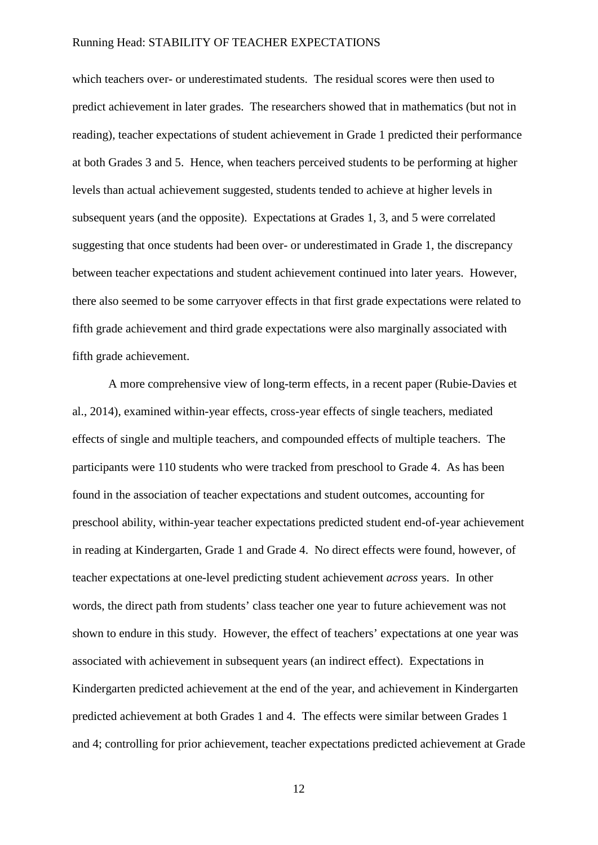which teachers over- or underestimated students. The residual scores were then used to predict achievement in later grades. The researchers showed that in mathematics (but not in reading), teacher expectations of student achievement in Grade 1 predicted their performance at both Grades 3 and 5. Hence, when teachers perceived students to be performing at higher levels than actual achievement suggested, students tended to achieve at higher levels in subsequent years (and the opposite). Expectations at Grades 1, 3, and 5 were correlated suggesting that once students had been over- or underestimated in Grade 1, the discrepancy between teacher expectations and student achievement continued into later years. However, there also seemed to be some carryover effects in that first grade expectations were related to fifth grade achievement and third grade expectations were also marginally associated with fifth grade achievement.

A more comprehensive view of long-term effects, in a recent paper (Rubie-Davies et al., 2014), examined within-year effects, cross-year effects of single teachers, mediated effects of single and multiple teachers, and compounded effects of multiple teachers. The participants were 110 students who were tracked from preschool to Grade 4. As has been found in the association of teacher expectations and student outcomes, accounting for preschool ability, within-year teacher expectations predicted student end-of-year achievement in reading at Kindergarten, Grade 1 and Grade 4. No direct effects were found, however, of teacher expectations at one-level predicting student achievement *across* years. In other words, the direct path from students' class teacher one year to future achievement was not shown to endure in this study. However, the effect of teachers' expectations at one year was associated with achievement in subsequent years (an indirect effect). Expectations in Kindergarten predicted achievement at the end of the year, and achievement in Kindergarten predicted achievement at both Grades 1 and 4. The effects were similar between Grades 1 and 4; controlling for prior achievement, teacher expectations predicted achievement at Grade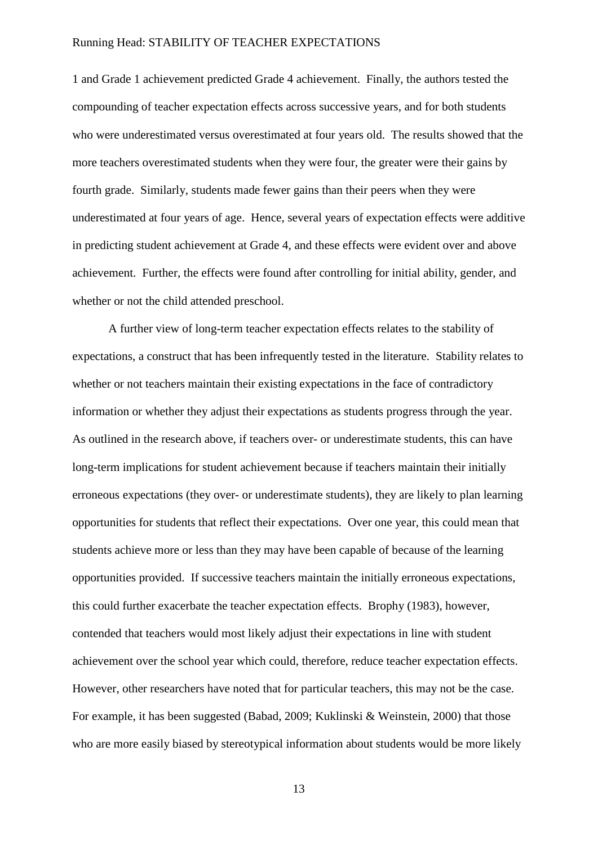1 and Grade 1 achievement predicted Grade 4 achievement. Finally, the authors tested the compounding of teacher expectation effects across successive years, and for both students who were underestimated versus overestimated at four years old. The results showed that the more teachers overestimated students when they were four, the greater were their gains by fourth grade. Similarly, students made fewer gains than their peers when they were underestimated at four years of age. Hence, several years of expectation effects were additive in predicting student achievement at Grade 4, and these effects were evident over and above achievement. Further, the effects were found after controlling for initial ability, gender, and whether or not the child attended preschool.

A further view of long-term teacher expectation effects relates to the stability of expectations, a construct that has been infrequently tested in the literature. Stability relates to whether or not teachers maintain their existing expectations in the face of contradictory information or whether they adjust their expectations as students progress through the year. As outlined in the research above, if teachers over- or underestimate students, this can have long-term implications for student achievement because if teachers maintain their initially erroneous expectations (they over- or underestimate students), they are likely to plan learning opportunities for students that reflect their expectations. Over one year, this could mean that students achieve more or less than they may have been capable of because of the learning opportunities provided. If successive teachers maintain the initially erroneous expectations, this could further exacerbate the teacher expectation effects. Brophy (1983), however, contended that teachers would most likely adjust their expectations in line with student achievement over the school year which could, therefore, reduce teacher expectation effects. However, other researchers have noted that for particular teachers, this may not be the case. For example, it has been suggested (Babad, 2009; Kuklinski & Weinstein, 2000) that those who are more easily biased by stereotypical information about students would be more likely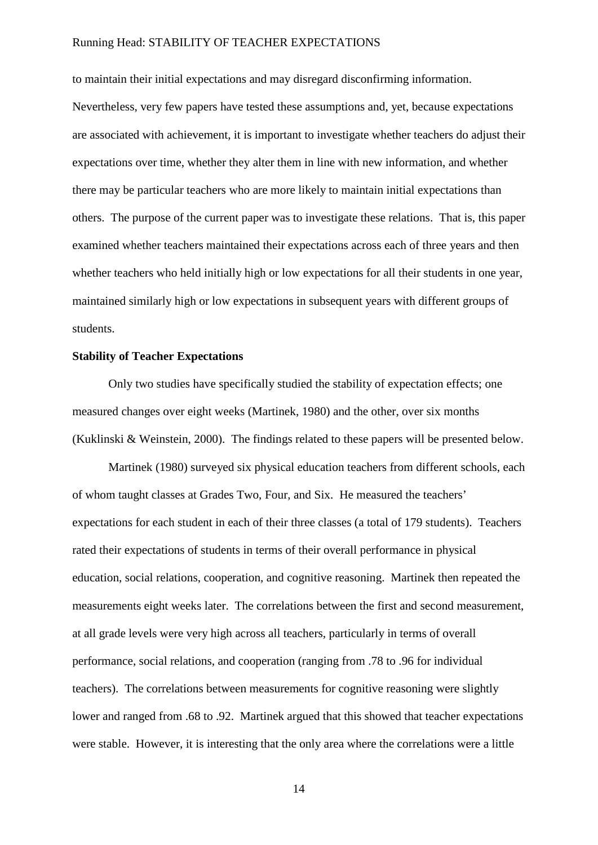to maintain their initial expectations and may disregard disconfirming information. Nevertheless, very few papers have tested these assumptions and, yet, because expectations are associated with achievement, it is important to investigate whether teachers do adjust their expectations over time, whether they alter them in line with new information, and whether there may be particular teachers who are more likely to maintain initial expectations than others. The purpose of the current paper was to investigate these relations. That is, this paper examined whether teachers maintained their expectations across each of three years and then whether teachers who held initially high or low expectations for all their students in one year, maintained similarly high or low expectations in subsequent years with different groups of students.

## **Stability of Teacher Expectations**

Only two studies have specifically studied the stability of expectation effects; one measured changes over eight weeks (Martinek, 1980) and the other, over six months (Kuklinski & Weinstein, 2000). The findings related to these papers will be presented below.

Martinek (1980) surveyed six physical education teachers from different schools, each of whom taught classes at Grades Two, Four, and Six. He measured the teachers' expectations for each student in each of their three classes (a total of 179 students). Teachers rated their expectations of students in terms of their overall performance in physical education, social relations, cooperation, and cognitive reasoning. Martinek then repeated the measurements eight weeks later. The correlations between the first and second measurement, at all grade levels were very high across all teachers, particularly in terms of overall performance, social relations, and cooperation (ranging from .78 to .96 for individual teachers). The correlations between measurements for cognitive reasoning were slightly lower and ranged from .68 to .92. Martinek argued that this showed that teacher expectations were stable. However, it is interesting that the only area where the correlations were a little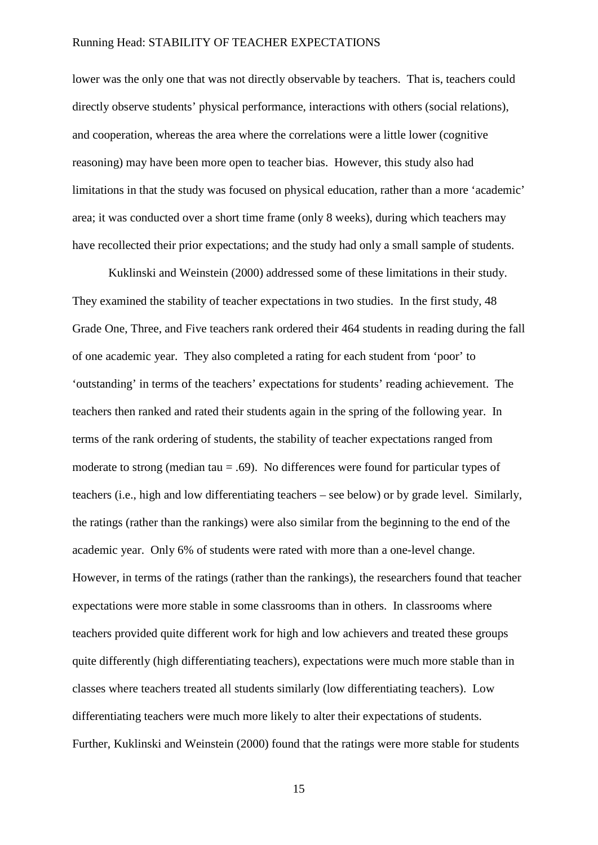lower was the only one that was not directly observable by teachers. That is, teachers could directly observe students' physical performance, interactions with others (social relations), and cooperation, whereas the area where the correlations were a little lower (cognitive reasoning) may have been more open to teacher bias. However, this study also had limitations in that the study was focused on physical education, rather than a more 'academic' area; it was conducted over a short time frame (only 8 weeks), during which teachers may have recollected their prior expectations; and the study had only a small sample of students.

Kuklinski and Weinstein (2000) addressed some of these limitations in their study. They examined the stability of teacher expectations in two studies. In the first study, 48 Grade One, Three, and Five teachers rank ordered their 464 students in reading during the fall of one academic year. They also completed a rating for each student from 'poor' to 'outstanding' in terms of the teachers' expectations for students' reading achievement. The teachers then ranked and rated their students again in the spring of the following year. In terms of the rank ordering of students, the stability of teacher expectations ranged from moderate to strong (median tau  $= .69$ ). No differences were found for particular types of teachers (i.e., high and low differentiating teachers – see below) or by grade level. Similarly, the ratings (rather than the rankings) were also similar from the beginning to the end of the academic year. Only 6% of students were rated with more than a one-level change. However, in terms of the ratings (rather than the rankings), the researchers found that teacher expectations were more stable in some classrooms than in others. In classrooms where teachers provided quite different work for high and low achievers and treated these groups quite differently (high differentiating teachers), expectations were much more stable than in classes where teachers treated all students similarly (low differentiating teachers). Low differentiating teachers were much more likely to alter their expectations of students. Further, Kuklinski and Weinstein (2000) found that the ratings were more stable for students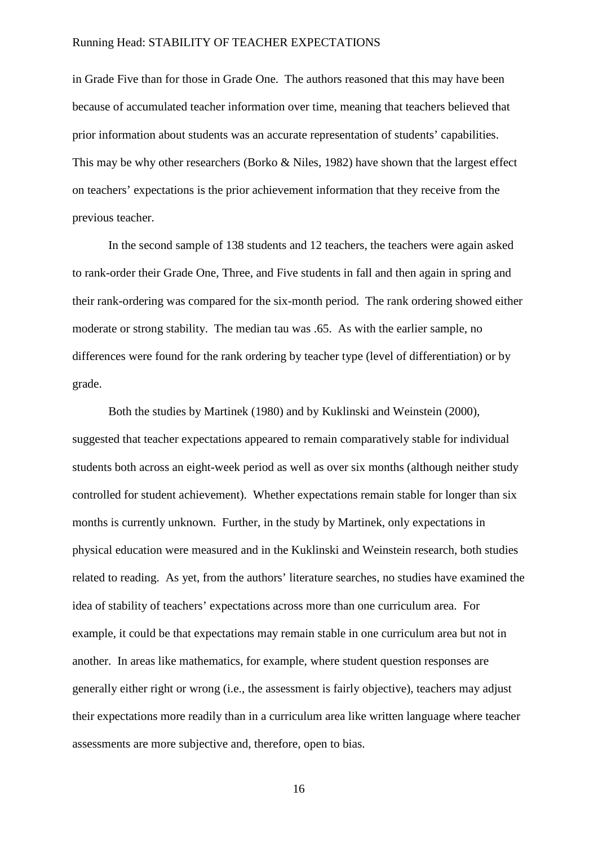in Grade Five than for those in Grade One. The authors reasoned that this may have been because of accumulated teacher information over time, meaning that teachers believed that prior information about students was an accurate representation of students' capabilities. This may be why other researchers (Borko & Niles, 1982) have shown that the largest effect on teachers' expectations is the prior achievement information that they receive from the previous teacher.

In the second sample of 138 students and 12 teachers, the teachers were again asked to rank-order their Grade One, Three, and Five students in fall and then again in spring and their rank-ordering was compared for the six-month period. The rank ordering showed either moderate or strong stability. The median tau was .65. As with the earlier sample, no differences were found for the rank ordering by teacher type (level of differentiation) or by grade.

Both the studies by Martinek (1980) and by Kuklinski and Weinstein (2000), suggested that teacher expectations appeared to remain comparatively stable for individual students both across an eight-week period as well as over six months (although neither study controlled for student achievement). Whether expectations remain stable for longer than six months is currently unknown. Further, in the study by Martinek, only expectations in physical education were measured and in the Kuklinski and Weinstein research, both studies related to reading. As yet, from the authors' literature searches, no studies have examined the idea of stability of teachers' expectations across more than one curriculum area. For example, it could be that expectations may remain stable in one curriculum area but not in another. In areas like mathematics, for example, where student question responses are generally either right or wrong (i.e., the assessment is fairly objective), teachers may adjust their expectations more readily than in a curriculum area like written language where teacher assessments are more subjective and, therefore, open to bias.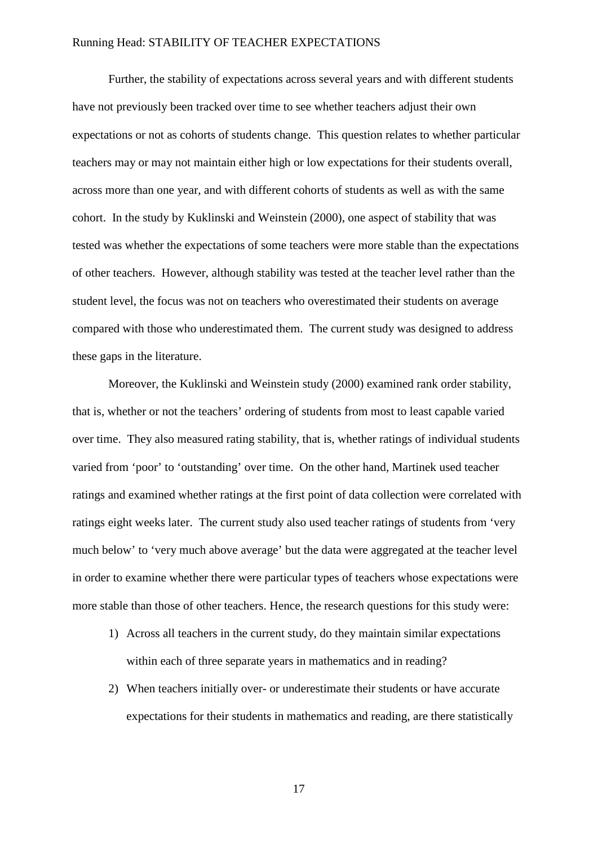Further, the stability of expectations across several years and with different students have not previously been tracked over time to see whether teachers adjust their own expectations or not as cohorts of students change. This question relates to whether particular teachers may or may not maintain either high or low expectations for their students overall, across more than one year, and with different cohorts of students as well as with the same cohort. In the study by Kuklinski and Weinstein (2000), one aspect of stability that was tested was whether the expectations of some teachers were more stable than the expectations of other teachers. However, although stability was tested at the teacher level rather than the student level, the focus was not on teachers who overestimated their students on average compared with those who underestimated them. The current study was designed to address these gaps in the literature.

Moreover, the Kuklinski and Weinstein study (2000) examined rank order stability, that is, whether or not the teachers' ordering of students from most to least capable varied over time. They also measured rating stability, that is, whether ratings of individual students varied from 'poor' to 'outstanding' over time. On the other hand, Martinek used teacher ratings and examined whether ratings at the first point of data collection were correlated with ratings eight weeks later. The current study also used teacher ratings of students from 'very much below' to 'very much above average' but the data were aggregated at the teacher level in order to examine whether there were particular types of teachers whose expectations were more stable than those of other teachers. Hence, the research questions for this study were:

- 1) Across all teachers in the current study, do they maintain similar expectations within each of three separate years in mathematics and in reading?
- 2) When teachers initially over- or underestimate their students or have accurate expectations for their students in mathematics and reading, are there statistically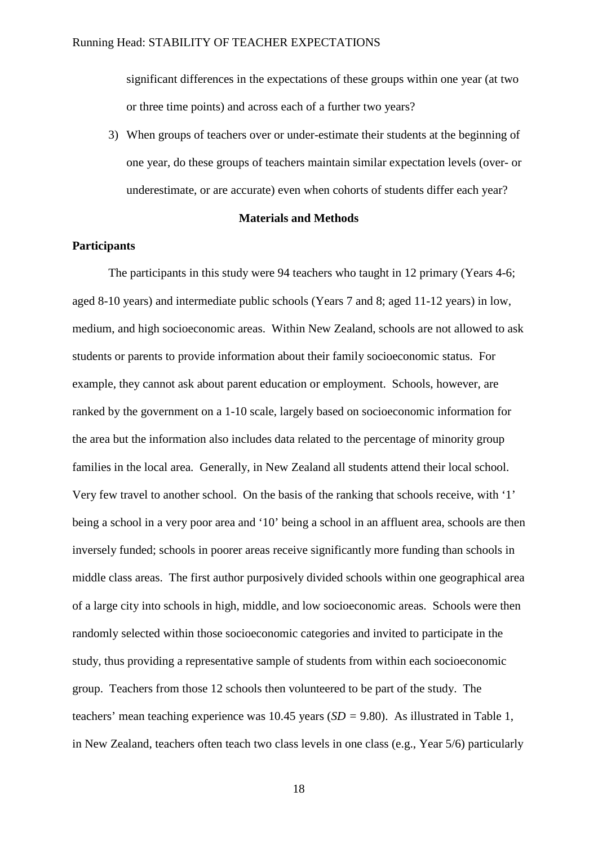significant differences in the expectations of these groups within one year (at two or three time points) and across each of a further two years?

3) When groups of teachers over or under-estimate their students at the beginning of one year, do these groups of teachers maintain similar expectation levels (over- or underestimate, or are accurate) even when cohorts of students differ each year?

## **Materials and Methods**

#### **Participants**

The participants in this study were 94 teachers who taught in 12 primary (Years 4-6; aged 8-10 years) and intermediate public schools (Years 7 and 8; aged 11-12 years) in low, medium, and high socioeconomic areas. Within New Zealand, schools are not allowed to ask students or parents to provide information about their family socioeconomic status. For example, they cannot ask about parent education or employment. Schools, however, are ranked by the government on a 1-10 scale, largely based on socioeconomic information for the area but the information also includes data related to the percentage of minority group families in the local area. Generally, in New Zealand all students attend their local school. Very few travel to another school. On the basis of the ranking that schools receive, with '1' being a school in a very poor area and '10' being a school in an affluent area, schools are then inversely funded; schools in poorer areas receive significantly more funding than schools in middle class areas. The first author purposively divided schools within one geographical area of a large city into schools in high, middle, and low socioeconomic areas. Schools were then randomly selected within those socioeconomic categories and invited to participate in the study, thus providing a representative sample of students from within each socioeconomic group. Teachers from those 12 schools then volunteered to be part of the study. The teachers' mean teaching experience was 10.45 years (*SD =* 9.80). As illustrated in Table 1, in New Zealand, teachers often teach two class levels in one class (e.g., Year 5/6) particularly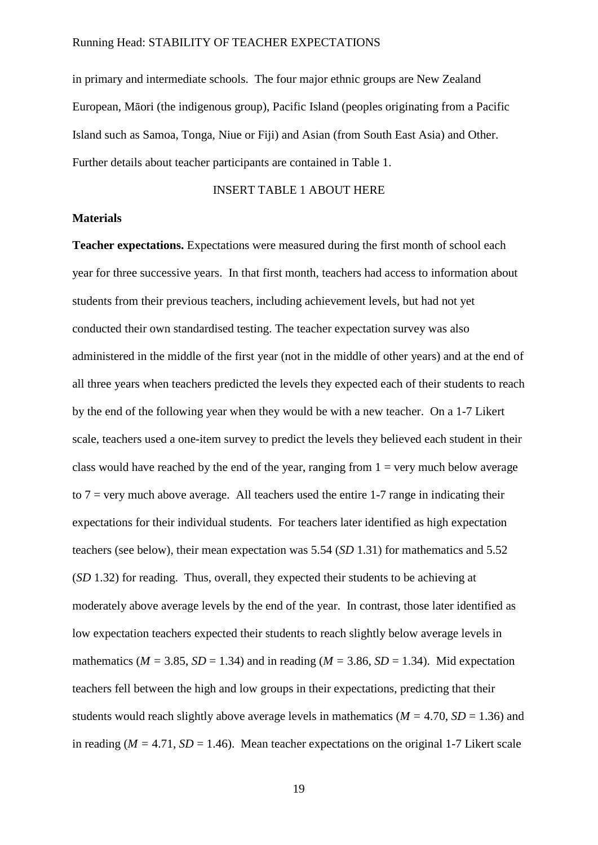in primary and intermediate schools. The four major ethnic groups are New Zealand European, Māori (the indigenous group), Pacific Island (peoples originating from a Pacific Island such as Samoa, Tonga, Niue or Fiji) and Asian (from South East Asia) and Other. Further details about teacher participants are contained in Table 1.

## INSERT TABLE 1 ABOUT HERE

## **Materials**

**Teacher expectations.** Expectations were measured during the first month of school each year for three successive years. In that first month, teachers had access to information about students from their previous teachers, including achievement levels, but had not yet conducted their own standardised testing. The teacher expectation survey was also administered in the middle of the first year (not in the middle of other years) and at the end of all three years when teachers predicted the levels they expected each of their students to reach by the end of the following year when they would be with a new teacher. On a 1-7 Likert scale, teachers used a one-item survey to predict the levels they believed each student in their class would have reached by the end of the year, ranging from  $1 = \text{very much below average}$ to  $7$  = very much above average. All teachers used the entire 1-7 range in indicating their expectations for their individual students. For teachers later identified as high expectation teachers (see below), their mean expectation was 5.54 (*SD* 1.31) for mathematics and 5.52 (*SD* 1.32) for reading. Thus, overall, they expected their students to be achieving at moderately above average levels by the end of the year. In contrast, those later identified as low expectation teachers expected their students to reach slightly below average levels in mathematics ( $M = 3.85$ ,  $SD = 1.34$ ) and in reading ( $M = 3.86$ ,  $SD = 1.34$ ). Mid expectation teachers fell between the high and low groups in their expectations, predicting that their students would reach slightly above average levels in mathematics ( $M = 4.70$ ,  $SD = 1.36$ ) and in reading ( $M = 4.71$ ,  $SD = 1.46$ ). Mean teacher expectations on the original 1-7 Likert scale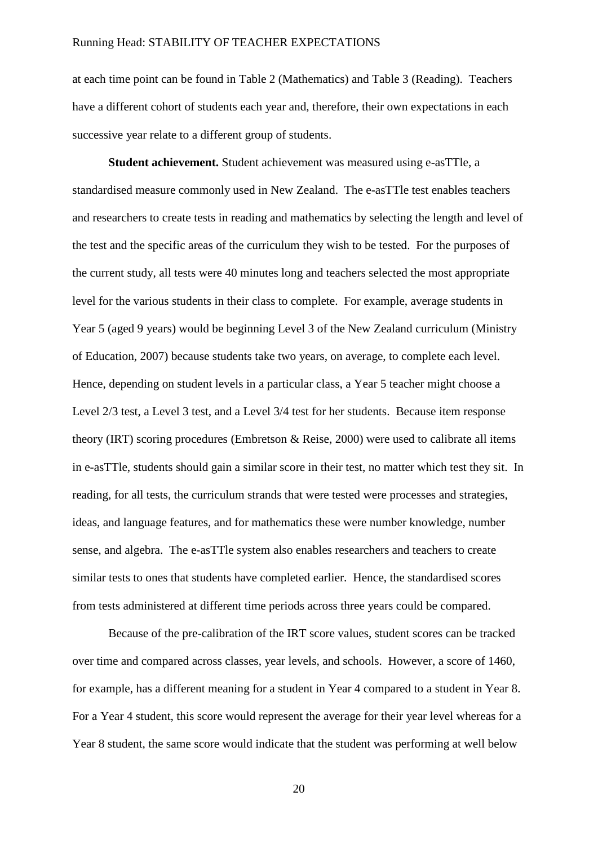at each time point can be found in Table 2 (Mathematics) and Table 3 (Reading). Teachers have a different cohort of students each year and, therefore, their own expectations in each successive year relate to a different group of students.

**Student achievement.** Student achievement was measured using e-asTTle, a standardised measure commonly used in New Zealand. The e-asTTle test enables teachers and researchers to create tests in reading and mathematics by selecting the length and level of the test and the specific areas of the curriculum they wish to be tested. For the purposes of the current study, all tests were 40 minutes long and teachers selected the most appropriate level for the various students in their class to complete. For example, average students in Year 5 (aged 9 years) would be beginning Level 3 of the New Zealand curriculum (Ministry of Education, 2007) because students take two years, on average, to complete each level. Hence, depending on student levels in a particular class, a Year 5 teacher might choose a Level 2/3 test, a Level 3 test, and a Level 3/4 test for her students. Because item response theory (IRT) scoring procedures (Embretson & Reise, 2000) were used to calibrate all items in e-asTTle, students should gain a similar score in their test, no matter which test they sit. In reading, for all tests, the curriculum strands that were tested were processes and strategies, ideas, and language features, and for mathematics these were number knowledge, number sense, and algebra. The e-asTTle system also enables researchers and teachers to create similar tests to ones that students have completed earlier. Hence, the standardised scores from tests administered at different time periods across three years could be compared.

Because of the pre-calibration of the IRT score values, student scores can be tracked over time and compared across classes, year levels, and schools. However, a score of 1460, for example, has a different meaning for a student in Year 4 compared to a student in Year 8. For a Year 4 student, this score would represent the average for their year level whereas for a Year 8 student, the same score would indicate that the student was performing at well below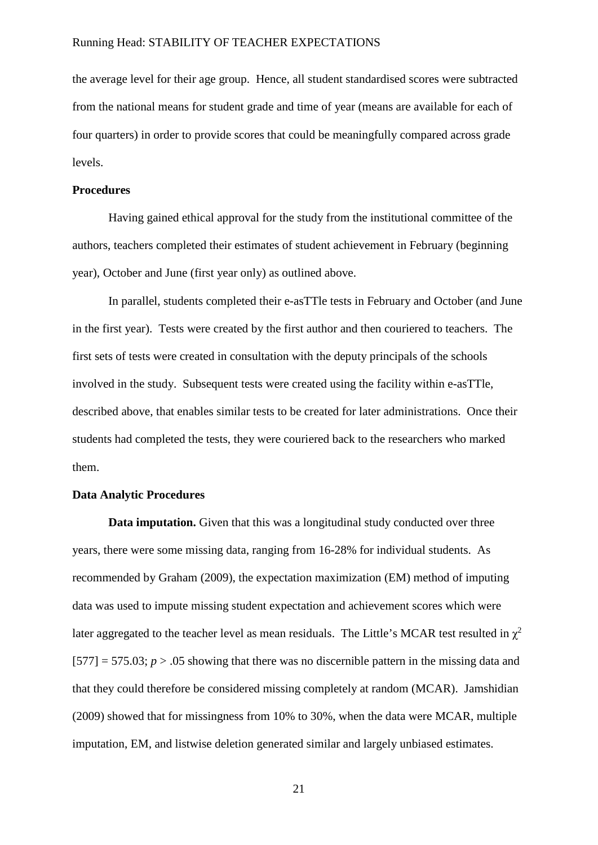the average level for their age group. Hence, all student standardised scores were subtracted from the national means for student grade and time of year (means are available for each of four quarters) in order to provide scores that could be meaningfully compared across grade levels.

#### **Procedures**

Having gained ethical approval for the study from the institutional committee of the authors, teachers completed their estimates of student achievement in February (beginning year), October and June (first year only) as outlined above.

In parallel, students completed their e-asTTle tests in February and October (and June in the first year). Tests were created by the first author and then couriered to teachers. The first sets of tests were created in consultation with the deputy principals of the schools involved in the study. Subsequent tests were created using the facility within e-asTTle, described above, that enables similar tests to be created for later administrations. Once their students had completed the tests, they were couriered back to the researchers who marked them.

#### **Data Analytic Procedures**

**Data imputation.** Given that this was a longitudinal study conducted over three years, there were some missing data, ranging from 16-28% for individual students. As recommended by Graham (2009), the expectation maximization (EM) method of imputing data was used to impute missing student expectation and achievement scores which were later aggregated to the teacher level as mean residuals. The Little's MCAR test resulted in  $\gamma^2$  $[577] = 575.03$ ;  $p > .05$  showing that there was no discernible pattern in the missing data and that they could therefore be considered missing completely at random (MCAR). Jamshidian (2009) showed that for missingness from 10% to 30%, when the data were MCAR, multiple imputation, EM, and listwise deletion generated similar and largely unbiased estimates.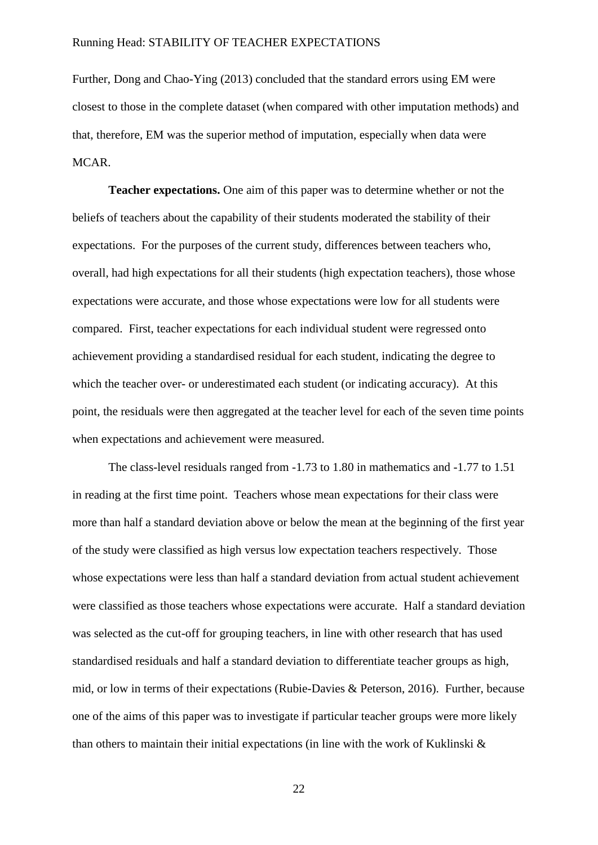Further, Dong and Chao-Ying (2013) concluded that the standard errors using EM were closest to those in the complete dataset (when compared with other imputation methods) and that, therefore, EM was the superior method of imputation, especially when data were MCAR.

**Teacher expectations.** One aim of this paper was to determine whether or not the beliefs of teachers about the capability of their students moderated the stability of their expectations. For the purposes of the current study, differences between teachers who, overall, had high expectations for all their students (high expectation teachers), those whose expectations were accurate, and those whose expectations were low for all students were compared. First, teacher expectations for each individual student were regressed onto achievement providing a standardised residual for each student, indicating the degree to which the teacher over- or underestimated each student (or indicating accuracy). At this point, the residuals were then aggregated at the teacher level for each of the seven time points when expectations and achievement were measured.

The class-level residuals ranged from -1.73 to 1.80 in mathematics and -1.77 to 1.51 in reading at the first time point. Teachers whose mean expectations for their class were more than half a standard deviation above or below the mean at the beginning of the first year of the study were classified as high versus low expectation teachers respectively. Those whose expectations were less than half a standard deviation from actual student achievement were classified as those teachers whose expectations were accurate. Half a standard deviation was selected as the cut-off for grouping teachers, in line with other research that has used standardised residuals and half a standard deviation to differentiate teacher groups as high, mid, or low in terms of their expectations (Rubie-Davies & Peterson, 2016). Further, because one of the aims of this paper was to investigate if particular teacher groups were more likely than others to maintain their initial expectations (in line with the work of Kuklinski  $\&$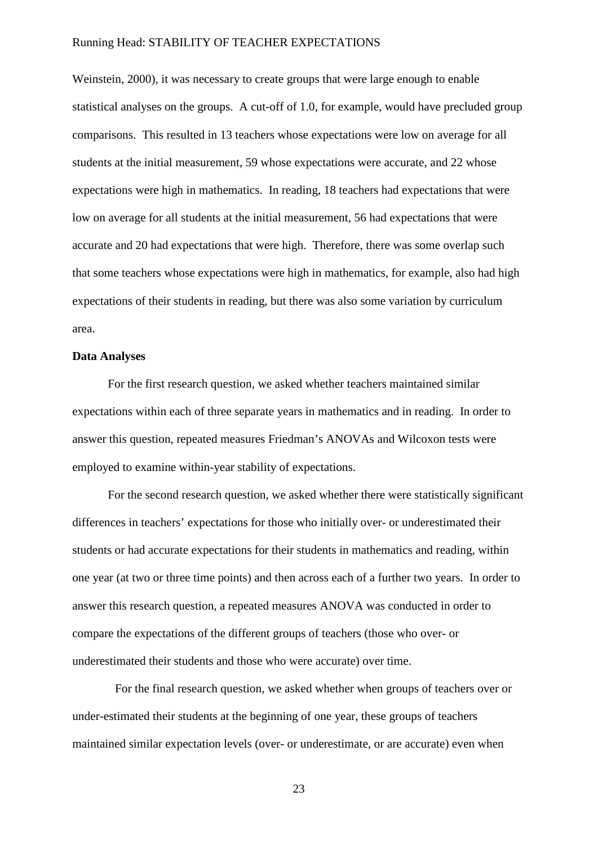Weinstein, 2000), it was necessary to create groups that were large enough to enable statistical analyses on the groups. A cut-off of 1.0, for example, would have precluded group comparisons. This resulted in 13 teachers whose expectations were low on average for all students at the initial measurement, 59 whose expectations were accurate, and 22 whose expectations were high in mathematics. In reading, 18 teachers had expectations that were low on average for all students at the initial measurement, 56 had expectations that were accurate and 20 had expectations that were high. Therefore, there was some overlap such that some teachers whose expectations were high in mathematics, for example, also had high expectations of their students in reading, but there was also some variation by curriculum area.

## **Data Analyses**

For the first research question, we asked whether teachers maintained similar expectations within each of three separate years in mathematics and in reading. In order to answer this question, repeated measures Friedman's ANOVAs and Wilcoxon tests were employed to examine within-year stability of expectations.

For the second research question, we asked whether there were statistically significant differences in teachers' expectations for those who initially over- or underestimated their students or had accurate expectations for their students in mathematics and reading, within one year (at two or three time points) and then across each of a further two years. In order to answer this research question, a repeated measures ANOVA was conducted in order to compare the expectations of the different groups of teachers (those who over- or underestimated their students and those who were accurate) over time.

For the final research question, we asked whether when groups of teachers over or under-estimated their students at the beginning of one year, these groups of teachers maintained similar expectation levels (over- or underestimate, or are accurate) even when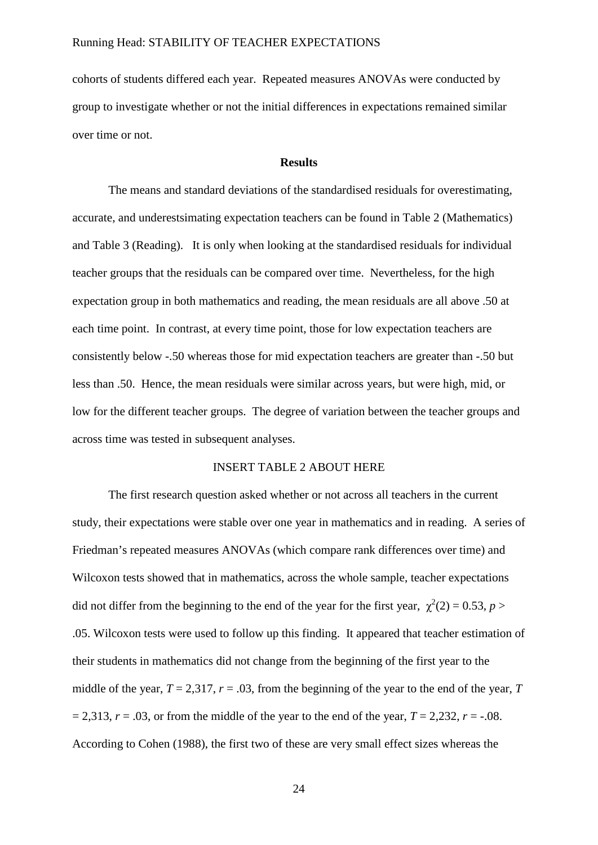cohorts of students differed each year. Repeated measures ANOVAs were conducted by group to investigate whether or not the initial differences in expectations remained similar over time or not.

## **Results**

The means and standard deviations of the standardised residuals for overestimating, accurate, and underestsimating expectation teachers can be found in Table 2 (Mathematics) and Table 3 (Reading). It is only when looking at the standardised residuals for individual teacher groups that the residuals can be compared over time. Nevertheless, for the high expectation group in both mathematics and reading, the mean residuals are all above .50 at each time point. In contrast, at every time point, those for low expectation teachers are consistently below -.50 whereas those for mid expectation teachers are greater than -.50 but less than .50. Hence, the mean residuals were similar across years, but were high, mid, or low for the different teacher groups. The degree of variation between the teacher groups and across time was tested in subsequent analyses.

## INSERT TABLE 2 ABOUT HERE

The first research question asked whether or not across all teachers in the current study, their expectations were stable over one year in mathematics and in reading. A series of Friedman's repeated measures ANOVAs (which compare rank differences over time) and Wilcoxon tests showed that in mathematics, across the whole sample, teacher expectations did not differ from the beginning to the end of the year for the first year,  $\chi^2(2) = 0.53$ ,  $p >$ .05. Wilcoxon tests were used to follow up this finding. It appeared that teacher estimation of their students in mathematics did not change from the beginning of the first year to the middle of the year,  $T = 2,317$ ,  $r = .03$ , from the beginning of the year to the end of the year, *T*  $= 2,313, r = .03$ , or from the middle of the year to the end of the year,  $T = 2,232, r = -.08$ . According to Cohen (1988), the first two of these are very small effect sizes whereas the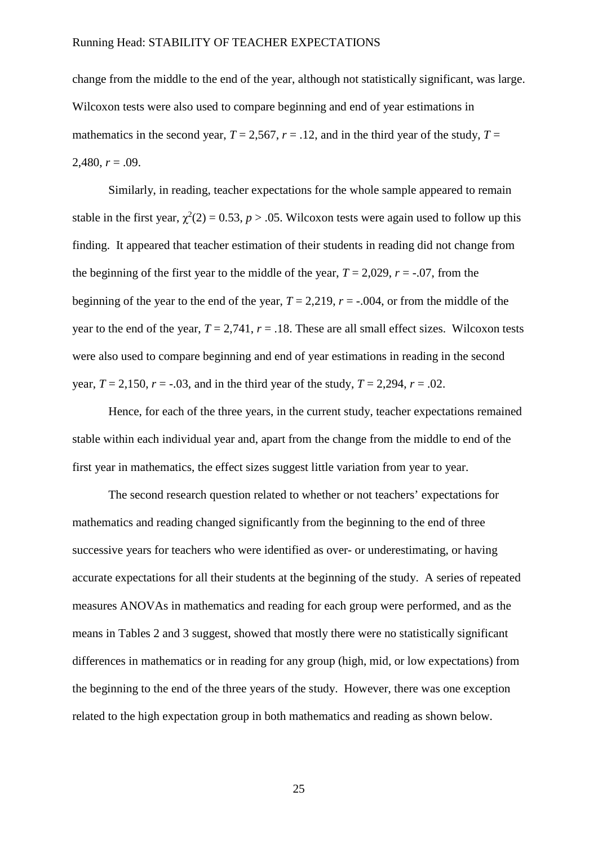change from the middle to the end of the year, although not statistically significant, was large. Wilcoxon tests were also used to compare beginning and end of year estimations in mathematics in the second year,  $T = 2,567$ ,  $r = .12$ , and in the third year of the study,  $T =$ 2,480,  $r = .09$ .

Similarly, in reading, teacher expectations for the whole sample appeared to remain stable in the first year,  $\chi^2(2) = 0.53$ ,  $p > 0.05$ . Wilcoxon tests were again used to follow up this finding. It appeared that teacher estimation of their students in reading did not change from the beginning of the first year to the middle of the year,  $T = 2,029$ ,  $r = -0.07$ , from the beginning of the year to the end of the year,  $T = 2,219$ ,  $r = -0.004$ , or from the middle of the year to the end of the year,  $T = 2,741$ ,  $r = .18$ . These are all small effect sizes. Wilcoxon tests were also used to compare beginning and end of year estimations in reading in the second year,  $T = 2,150$ ,  $r = -.03$ , and in the third year of the study,  $T = 2,294$ ,  $r = .02$ .

Hence, for each of the three years, in the current study, teacher expectations remained stable within each individual year and, apart from the change from the middle to end of the first year in mathematics, the effect sizes suggest little variation from year to year.

The second research question related to whether or not teachers' expectations for mathematics and reading changed significantly from the beginning to the end of three successive years for teachers who were identified as over- or underestimating, or having accurate expectations for all their students at the beginning of the study. A series of repeated measures ANOVAs in mathematics and reading for each group were performed, and as the means in Tables 2 and 3 suggest, showed that mostly there were no statistically significant differences in mathematics or in reading for any group (high, mid, or low expectations) from the beginning to the end of the three years of the study. However, there was one exception related to the high expectation group in both mathematics and reading as shown below.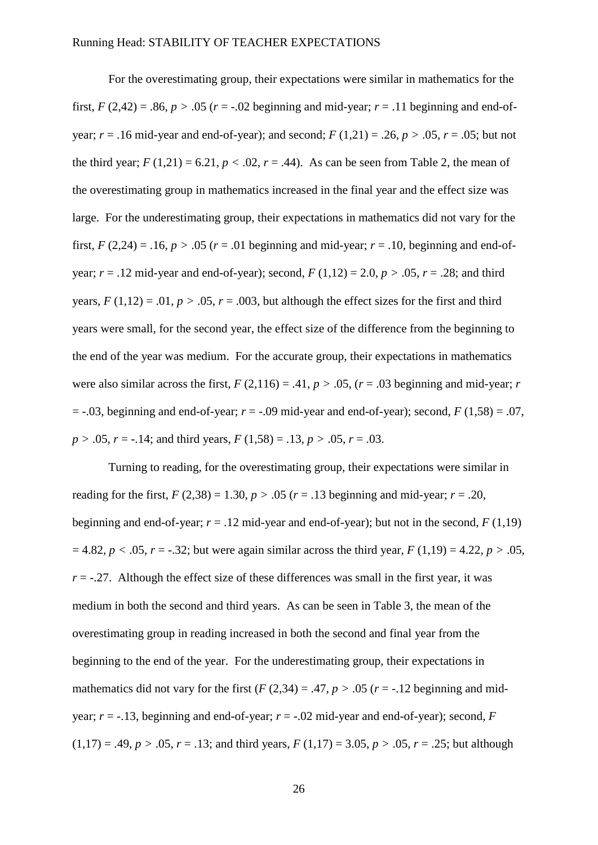For the overestimating group, their expectations were similar in mathematics for the first,  $F(2,42) = .86$ ,  $p > .05$  ( $r = -.02$  beginning and mid-year;  $r = .11$  beginning and end-ofyear;  $r = .16$  mid-year and end-of-year); and second;  $F(1,21) = .26$ ,  $p > .05$ ,  $r = .05$ ; but not the third year;  $F(1,21) = 6.21$ ,  $p < .02$ ,  $r = .44$ ). As can be seen from Table 2, the mean of the overestimating group in mathematics increased in the final year and the effect size was large. For the underestimating group, their expectations in mathematics did not vary for the first,  $F(2,24) = .16$ ,  $p > .05$  ( $r = .01$  beginning and mid-year;  $r = .10$ , beginning and end-ofyear;  $r = .12$  mid-year and end-of-year); second,  $F(1,12) = 2.0, p > .05, r = .28$ ; and third years,  $F(1,12) = .01$ ,  $p > .05$ ,  $r = .003$ , but although the effect sizes for the first and third years were small, for the second year, the effect size of the difference from the beginning to the end of the year was medium. For the accurate group, their expectations in mathematics were also similar across the first,  $F(2,116) = .41$ ,  $p > .05$ ,  $(r = .03$  beginning and mid-year; *r*  $=$  -.03, beginning and end-of-year;  $r = -.09$  mid-year and end-of-year); second,  $F(1,58) = .07$ ,  $p > .05$ ,  $r = -.14$ ; and third years,  $F(1,58) = .13$ ,  $p > .05$ ,  $r = .03$ .

Turning to reading, for the overestimating group, their expectations were similar in reading for the first,  $F(2,38) = 1.30, p > .05$  ( $r = .13$  beginning and mid-year;  $r = .20$ , beginning and end-of-year;  $r = .12$  mid-year and end-of-year); but not in the second,  $F(1,19)$  $= 4.82, p < .05, r = -.32$ ; but were again similar across the third year,  $F(1,19) = 4.22, p > .05,$  $r = -0.27$ . Although the effect size of these differences was small in the first year, it was medium in both the second and third years. As can be seen in Table 3, the mean of the overestimating group in reading increased in both the second and final year from the beginning to the end of the year. For the underestimating group, their expectations in mathematics did not vary for the first  $(F (2,34) = .47, p > .05$   $(r = -.12$  beginning and midyear;  $r = -13$ , beginning and end-of-year;  $r = -0.02$  mid-year and end-of-year); second,  $F = -0.02$  $(1,17) = .49, p > .05, r = .13$ ; and third years,  $F(1,17) = 3.05, p > .05, r = .25$ ; but although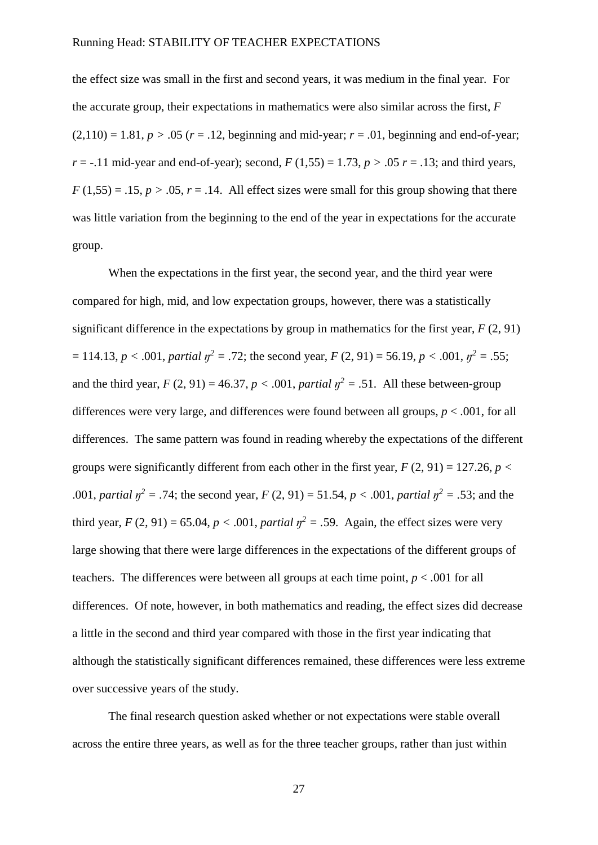the effect size was small in the first and second years, it was medium in the final year. For the accurate group, their expectations in mathematics were also similar across the first, *F*   $(2,110) = 1.81, p > .05$  ( $r = .12$ , beginning and mid-year;  $r = .01$ , beginning and end-of-year;  $r = -.11$  mid-year and end-of-year); second,  $F(1,55) = 1.73$ ,  $p > .05$   $r = .13$ ; and third years,  $F(1,55) = .15, p > .05, r = .14$ . All effect sizes were small for this group showing that there was little variation from the beginning to the end of the year in expectations for the accurate group.

When the expectations in the first year, the second year, and the third year were compared for high, mid, and low expectation groups, however, there was a statistically significant difference in the expectations by group in mathematics for the first year,  $F(2, 91)$  $= 114.13, p < .001,$  *partial*  $\eta^2 = .72$ ; the second year,  $F(2, 91) = 56.19, p < .001, \eta^2 = .55$ ; and the third year,  $F(2, 91) = 46.37$ ,  $p < .001$ , *partial*  $\eta^2 = .51$ . All these between-group differences were very large, and differences were found between all groups, *p* < .001, for all differences. The same pattern was found in reading whereby the expectations of the different groups were significantly different from each other in the first year,  $F(2, 91) = 127.26$ ,  $p <$ .001, *partial*  $n^2 = .74$ ; the second year,  $F(2, 91) = 51.54$ ,  $p < .001$ , *partial*  $n^2 = .53$ ; and the third year,  $F(2, 91) = 65.04$ ,  $p < .001$ , *partial*  $\eta^2 = .59$ . Again, the effect sizes were very large showing that there were large differences in the expectations of the different groups of teachers. The differences were between all groups at each time point,  $p < .001$  for all differences. Of note, however, in both mathematics and reading, the effect sizes did decrease a little in the second and third year compared with those in the first year indicating that although the statistically significant differences remained, these differences were less extreme over successive years of the study.

The final research question asked whether or not expectations were stable overall across the entire three years, as well as for the three teacher groups, rather than just within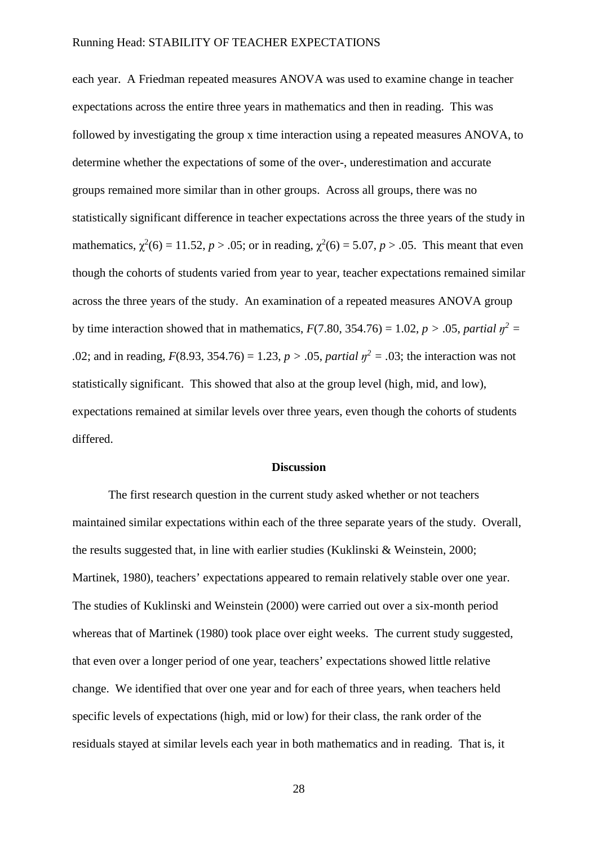each year. A Friedman repeated measures ANOVA was used to examine change in teacher expectations across the entire three years in mathematics and then in reading. This was followed by investigating the group x time interaction using a repeated measures ANOVA, to determine whether the expectations of some of the over-, underestimation and accurate groups remained more similar than in other groups. Across all groups, there was no statistically significant difference in teacher expectations across the three years of the study in mathematics,  $\chi^2(6) = 11.52$ ,  $p > .05$ ; or in reading,  $\chi^2(6) = 5.07$ ,  $p > .05$ . This meant that even though the cohorts of students varied from year to year, teacher expectations remained similar across the three years of the study. An examination of a repeated measures ANOVA group by time interaction showed that in mathematics,  $F(7.80, 354.76) = 1.02$ ,  $p > .05$ , *partial*  $\eta^2 =$ *.*02; and in reading,  $F(8.93, 354.76) = 1.23$ ,  $p > .05$ , *partial*  $p^2 = .03$ ; the interaction was not statistically significant. This showed that also at the group level (high, mid, and low), expectations remained at similar levels over three years, even though the cohorts of students differed.

#### **Discussion**

The first research question in the current study asked whether or not teachers maintained similar expectations within each of the three separate years of the study. Overall, the results suggested that, in line with earlier studies (Kuklinski & Weinstein, 2000; Martinek, 1980), teachers' expectations appeared to remain relatively stable over one year. The studies of Kuklinski and Weinstein (2000) were carried out over a six-month period whereas that of Martinek (1980) took place over eight weeks. The current study suggested, that even over a longer period of one year, teachers' expectations showed little relative change. We identified that over one year and for each of three years, when teachers held specific levels of expectations (high, mid or low) for their class, the rank order of the residuals stayed at similar levels each year in both mathematics and in reading. That is, it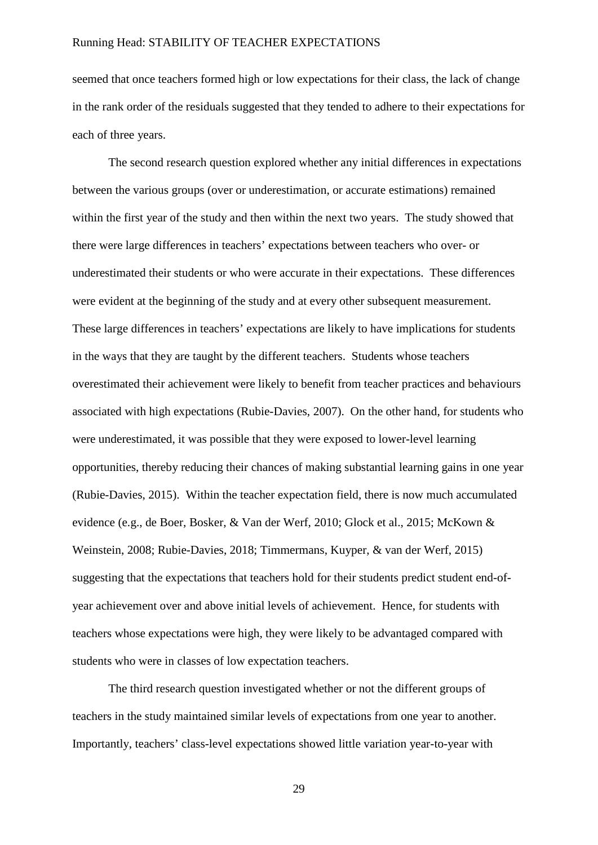seemed that once teachers formed high or low expectations for their class, the lack of change in the rank order of the residuals suggested that they tended to adhere to their expectations for each of three years.

The second research question explored whether any initial differences in expectations between the various groups (over or underestimation, or accurate estimations) remained within the first year of the study and then within the next two years. The study showed that there were large differences in teachers' expectations between teachers who over- or underestimated their students or who were accurate in their expectations. These differences were evident at the beginning of the study and at every other subsequent measurement. These large differences in teachers' expectations are likely to have implications for students in the ways that they are taught by the different teachers. Students whose teachers overestimated their achievement were likely to benefit from teacher practices and behaviours associated with high expectations (Rubie-Davies, 2007). On the other hand, for students who were underestimated, it was possible that they were exposed to lower-level learning opportunities, thereby reducing their chances of making substantial learning gains in one year (Rubie-Davies, 2015). Within the teacher expectation field, there is now much accumulated evidence (e.g., de Boer, Bosker, & Van der Werf, 2010; Glock et al., 2015; McKown & Weinstein, 2008; Rubie-Davies, 2018; Timmermans, Kuyper, & van der Werf, 2015) suggesting that the expectations that teachers hold for their students predict student end-ofyear achievement over and above initial levels of achievement. Hence, for students with teachers whose expectations were high, they were likely to be advantaged compared with students who were in classes of low expectation teachers.

The third research question investigated whether or not the different groups of teachers in the study maintained similar levels of expectations from one year to another. Importantly, teachers' class-level expectations showed little variation year-to-year with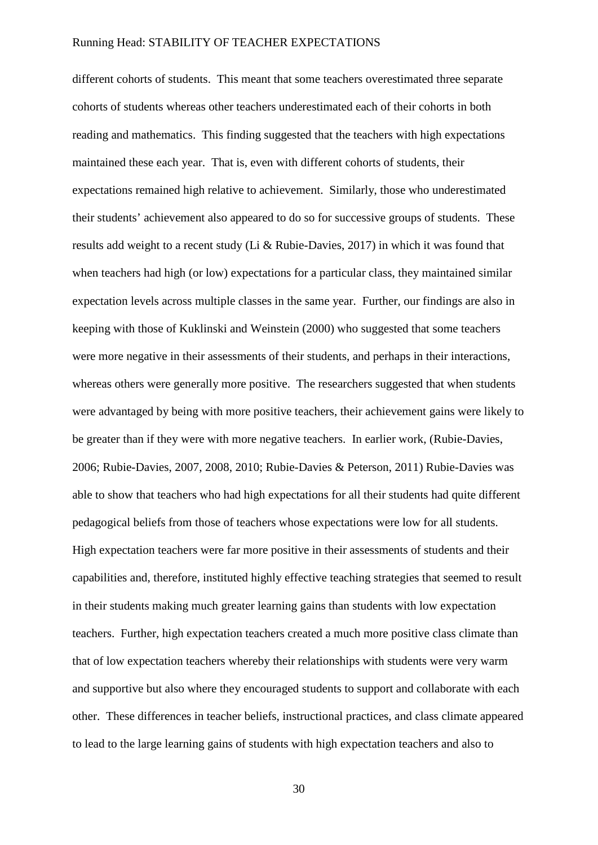different cohorts of students. This meant that some teachers overestimated three separate cohorts of students whereas other teachers underestimated each of their cohorts in both reading and mathematics. This finding suggested that the teachers with high expectations maintained these each year. That is, even with different cohorts of students, their expectations remained high relative to achievement. Similarly, those who underestimated their students' achievement also appeared to do so for successive groups of students. These results add weight to a recent study (Li & Rubie-Davies, 2017) in which it was found that when teachers had high (or low) expectations for a particular class, they maintained similar expectation levels across multiple classes in the same year. Further, our findings are also in keeping with those of Kuklinski and Weinstein (2000) who suggested that some teachers were more negative in their assessments of their students, and perhaps in their interactions, whereas others were generally more positive. The researchers suggested that when students were advantaged by being with more positive teachers, their achievement gains were likely to be greater than if they were with more negative teachers. In earlier work, (Rubie-Davies, 2006; Rubie-Davies, 2007, 2008, 2010; Rubie-Davies & Peterson, 2011) Rubie-Davies was able to show that teachers who had high expectations for all their students had quite different pedagogical beliefs from those of teachers whose expectations were low for all students. High expectation teachers were far more positive in their assessments of students and their capabilities and, therefore, instituted highly effective teaching strategies that seemed to result in their students making much greater learning gains than students with low expectation teachers. Further, high expectation teachers created a much more positive class climate than that of low expectation teachers whereby their relationships with students were very warm and supportive but also where they encouraged students to support and collaborate with each other. These differences in teacher beliefs, instructional practices, and class climate appeared to lead to the large learning gains of students with high expectation teachers and also to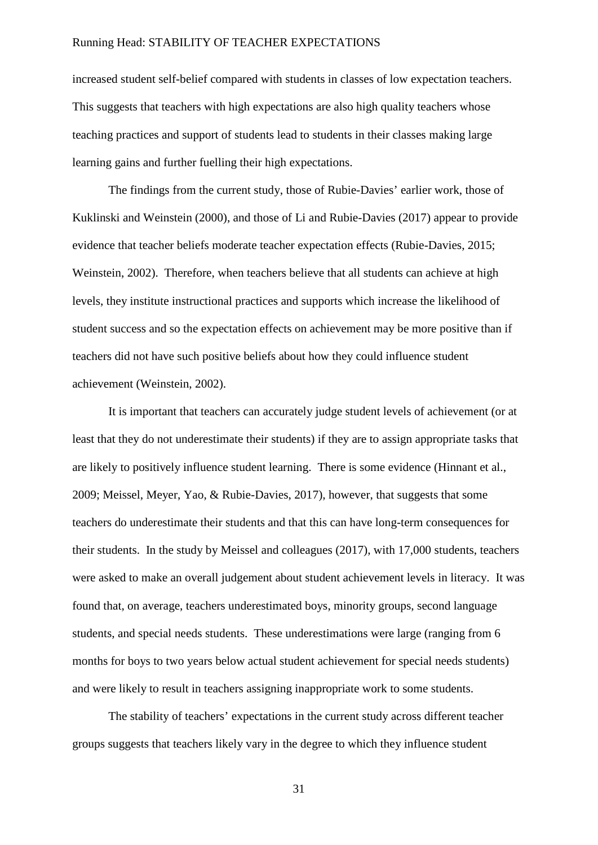increased student self-belief compared with students in classes of low expectation teachers. This suggests that teachers with high expectations are also high quality teachers whose teaching practices and support of students lead to students in their classes making large learning gains and further fuelling their high expectations.

The findings from the current study, those of Rubie-Davies' earlier work, those of Kuklinski and Weinstein (2000), and those of Li and Rubie-Davies (2017) appear to provide evidence that teacher beliefs moderate teacher expectation effects (Rubie-Davies, 2015; Weinstein, 2002). Therefore, when teachers believe that all students can achieve at high levels, they institute instructional practices and supports which increase the likelihood of student success and so the expectation effects on achievement may be more positive than if teachers did not have such positive beliefs about how they could influence student achievement (Weinstein, 2002).

It is important that teachers can accurately judge student levels of achievement (or at least that they do not underestimate their students) if they are to assign appropriate tasks that are likely to positively influence student learning. There is some evidence (Hinnant et al., 2009; Meissel, Meyer, Yao, & Rubie-Davies, 2017), however, that suggests that some teachers do underestimate their students and that this can have long-term consequences for their students. In the study by Meissel and colleagues (2017), with 17,000 students, teachers were asked to make an overall judgement about student achievement levels in literacy. It was found that, on average, teachers underestimated boys, minority groups, second language students, and special needs students. These underestimations were large (ranging from 6 months for boys to two years below actual student achievement for special needs students) and were likely to result in teachers assigning inappropriate work to some students.

The stability of teachers' expectations in the current study across different teacher groups suggests that teachers likely vary in the degree to which they influence student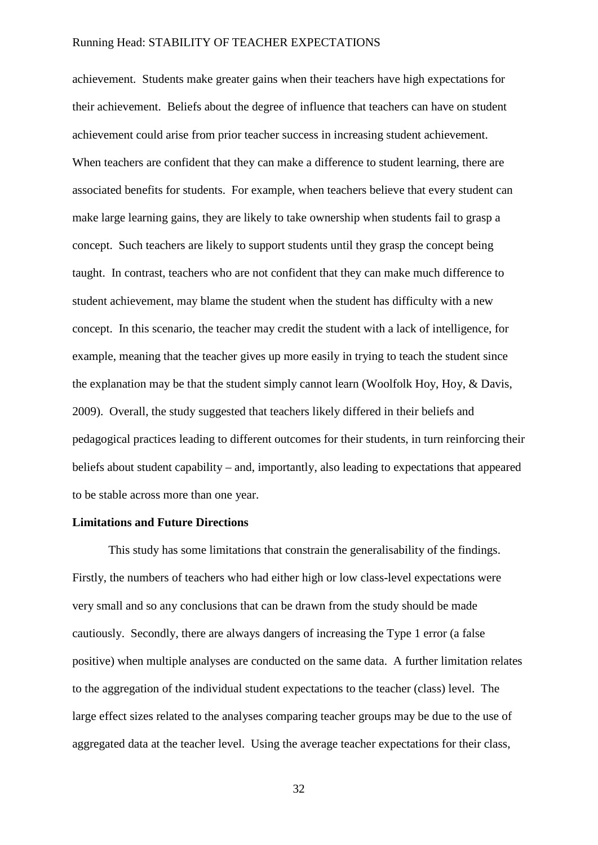achievement. Students make greater gains when their teachers have high expectations for their achievement. Beliefs about the degree of influence that teachers can have on student achievement could arise from prior teacher success in increasing student achievement. When teachers are confident that they can make a difference to student learning, there are associated benefits for students. For example, when teachers believe that every student can make large learning gains, they are likely to take ownership when students fail to grasp a concept. Such teachers are likely to support students until they grasp the concept being taught. In contrast, teachers who are not confident that they can make much difference to student achievement, may blame the student when the student has difficulty with a new concept. In this scenario, the teacher may credit the student with a lack of intelligence, for example, meaning that the teacher gives up more easily in trying to teach the student since the explanation may be that the student simply cannot learn (Woolfolk Hoy, Hoy, & Davis, 2009). Overall, the study suggested that teachers likely differed in their beliefs and pedagogical practices leading to different outcomes for their students, in turn reinforcing their beliefs about student capability – and, importantly, also leading to expectations that appeared to be stable across more than one year.

## **Limitations and Future Directions**

This study has some limitations that constrain the generalisability of the findings. Firstly, the numbers of teachers who had either high or low class-level expectations were very small and so any conclusions that can be drawn from the study should be made cautiously. Secondly, there are always dangers of increasing the Type 1 error (a false positive) when multiple analyses are conducted on the same data. A further limitation relates to the aggregation of the individual student expectations to the teacher (class) level. The large effect sizes related to the analyses comparing teacher groups may be due to the use of aggregated data at the teacher level. Using the average teacher expectations for their class,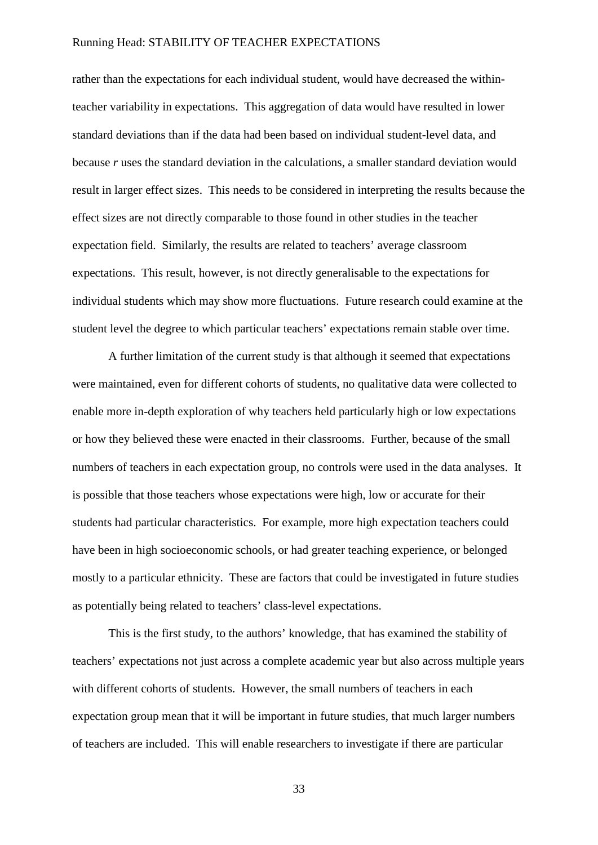rather than the expectations for each individual student, would have decreased the withinteacher variability in expectations. This aggregation of data would have resulted in lower standard deviations than if the data had been based on individual student-level data, and because *r* uses the standard deviation in the calculations, a smaller standard deviation would result in larger effect sizes. This needs to be considered in interpreting the results because the effect sizes are not directly comparable to those found in other studies in the teacher expectation field. Similarly, the results are related to teachers' average classroom expectations. This result, however, is not directly generalisable to the expectations for individual students which may show more fluctuations. Future research could examine at the student level the degree to which particular teachers' expectations remain stable over time.

A further limitation of the current study is that although it seemed that expectations were maintained, even for different cohorts of students, no qualitative data were collected to enable more in-depth exploration of why teachers held particularly high or low expectations or how they believed these were enacted in their classrooms. Further, because of the small numbers of teachers in each expectation group, no controls were used in the data analyses. It is possible that those teachers whose expectations were high, low or accurate for their students had particular characteristics. For example, more high expectation teachers could have been in high socioeconomic schools, or had greater teaching experience, or belonged mostly to a particular ethnicity. These are factors that could be investigated in future studies as potentially being related to teachers' class-level expectations.

This is the first study, to the authors' knowledge, that has examined the stability of teachers' expectations not just across a complete academic year but also across multiple years with different cohorts of students. However, the small numbers of teachers in each expectation group mean that it will be important in future studies, that much larger numbers of teachers are included. This will enable researchers to investigate if there are particular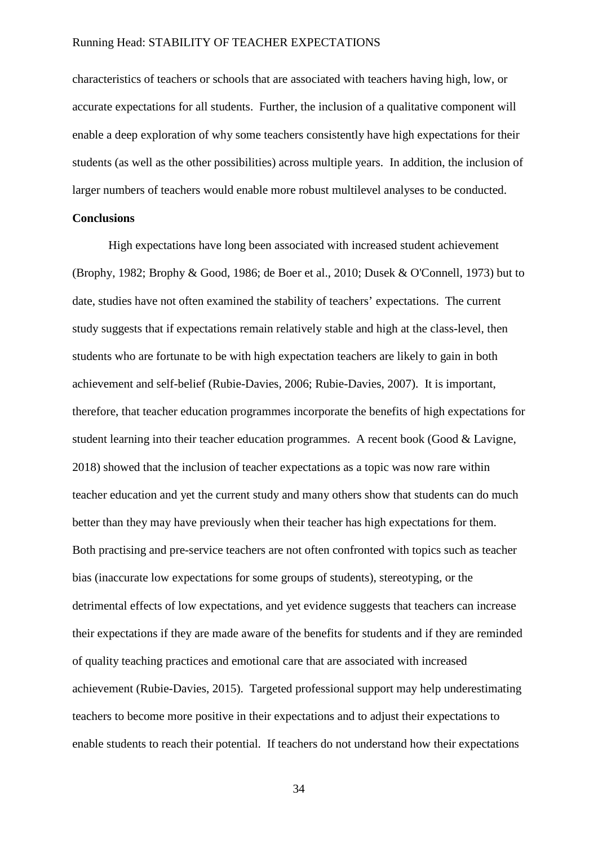characteristics of teachers or schools that are associated with teachers having high, low, or accurate expectations for all students. Further, the inclusion of a qualitative component will enable a deep exploration of why some teachers consistently have high expectations for their students (as well as the other possibilities) across multiple years. In addition, the inclusion of larger numbers of teachers would enable more robust multilevel analyses to be conducted.

## **Conclusions**

High expectations have long been associated with increased student achievement (Brophy, 1982; Brophy & Good, 1986; de Boer et al., 2010; Dusek & O'Connell, 1973) but to date, studies have not often examined the stability of teachers' expectations. The current study suggests that if expectations remain relatively stable and high at the class-level, then students who are fortunate to be with high expectation teachers are likely to gain in both achievement and self-belief (Rubie-Davies, 2006; Rubie-Davies, 2007). It is important, therefore, that teacher education programmes incorporate the benefits of high expectations for student learning into their teacher education programmes. A recent book (Good & Lavigne, 2018) showed that the inclusion of teacher expectations as a topic was now rare within teacher education and yet the current study and many others show that students can do much better than they may have previously when their teacher has high expectations for them. Both practising and pre-service teachers are not often confronted with topics such as teacher bias (inaccurate low expectations for some groups of students), stereotyping, or the detrimental effects of low expectations, and yet evidence suggests that teachers can increase their expectations if they are made aware of the benefits for students and if they are reminded of quality teaching practices and emotional care that are associated with increased achievement (Rubie-Davies, 2015). Targeted professional support may help underestimating teachers to become more positive in their expectations and to adjust their expectations to enable students to reach their potential. If teachers do not understand how their expectations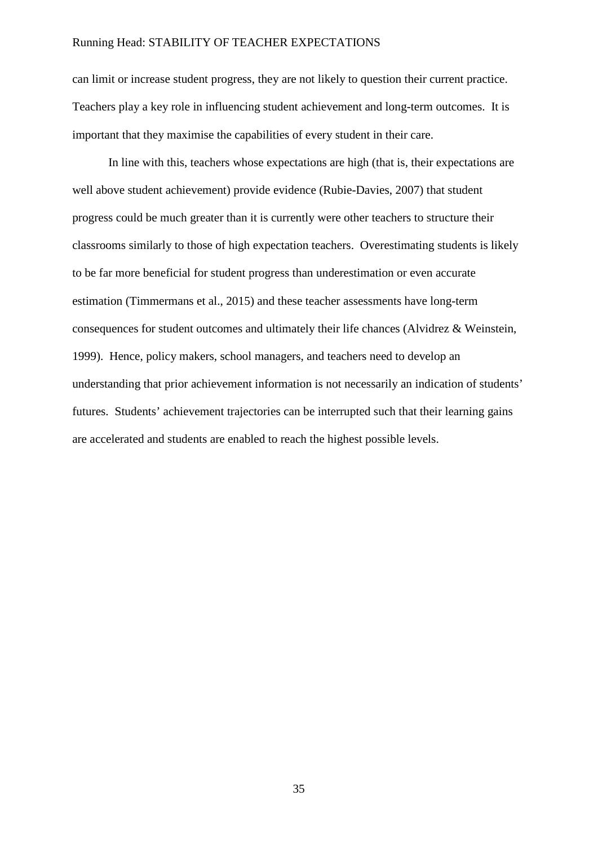can limit or increase student progress, they are not likely to question their current practice. Teachers play a key role in influencing student achievement and long-term outcomes. It is important that they maximise the capabilities of every student in their care.

In line with this, teachers whose expectations are high (that is, their expectations are well above student achievement) provide evidence (Rubie-Davies, 2007) that student progress could be much greater than it is currently were other teachers to structure their classrooms similarly to those of high expectation teachers. Overestimating students is likely to be far more beneficial for student progress than underestimation or even accurate estimation (Timmermans et al., 2015) and these teacher assessments have long-term consequences for student outcomes and ultimately their life chances (Alvidrez & Weinstein, 1999). Hence, policy makers, school managers, and teachers need to develop an understanding that prior achievement information is not necessarily an indication of students' futures. Students' achievement trajectories can be interrupted such that their learning gains are accelerated and students are enabled to reach the highest possible levels.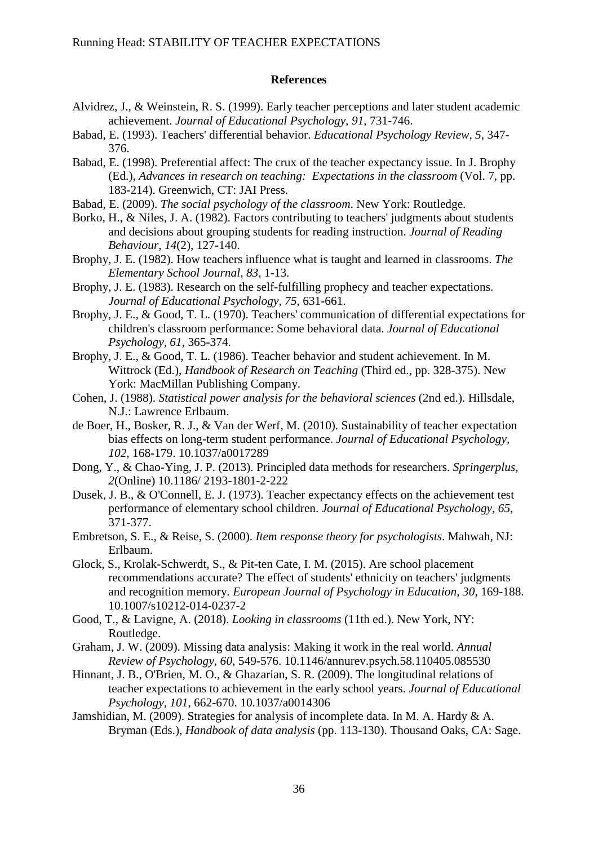## **References**

- Alvidrez, J., & Weinstein, R. S. (1999). Early teacher perceptions and later student academic achievement. *Journal of Educational Psychology, 91*, 731-746.
- Babad, E. (1993). Teachers' differential behavior. *Educational Psychology Review, 5*, 347- 376.
- Babad, E. (1998). Preferential affect: The crux of the teacher expectancy issue. In J. Brophy (Ed.), *Advances in research on teaching: Expectations in the classroom* (Vol. 7, pp. 183-214). Greenwich, CT: JAI Press.
- Babad, E. (2009). *The social psychology of the classroom*. New York: Routledge.
- Borko, H., & Niles, J. A. (1982). Factors contributing to teachers' judgments about students and decisions about grouping students for reading instruction. *Journal of Reading Behaviour, 14*(2), 127-140.
- Brophy, J. E. (1982). How teachers influence what is taught and learned in classrooms. *The Elementary School Journal, 83*, 1-13.
- Brophy, J. E. (1983). Research on the self-fulfilling prophecy and teacher expectations. *Journal of Educational Psychology, 75*, 631-661.
- Brophy, J. E., & Good, T. L. (1970). Teachers' communication of differential expectations for children's classroom performance: Some behavioral data. *Journal of Educational Psychology, 61*, 365-374.
- Brophy, J. E., & Good, T. L. (1986). Teacher behavior and student achievement. In M. Wittrock (Ed.), *Handbook of Research on Teaching* (Third ed., pp. 328-375). New York: MacMillan Publishing Company.
- Cohen, J. (1988). *Statistical power analysis for the behavioral sciences* (2nd ed.). Hillsdale, N.J.: Lawrence Erlbaum.
- de Boer, H., Bosker, R. J., & Van der Werf, M. (2010). Sustainability of teacher expectation bias effects on long-term student performance. *Journal of Educational Psychology, 102*, 168-179. 10.1037/a0017289
- Dong, Y., & Chao-Ying, J. P. (2013). Principled data methods for researchers. *Springerplus, 2*(Online) 10.1186/ 2193-1801-2-222
- Dusek, J. B., & O'Connell, E. J. (1973). Teacher expectancy effects on the achievement test performance of elementary school children. *Journal of Educational Psychology, 65*, 371-377.
- Embretson, S. E., & Reise, S. (2000). *Item response theory for psychologists*. Mahwah, NJ: Erlbaum.
- Glock, S., Krolak-Schwerdt, S., & Pit-ten Cate, I. M. (2015). Are school placement recommendations accurate? The effect of students' ethnicity on teachers' judgments and recognition memory. *European Journal of Psychology in Education, 30*, 169-188. 10.1007/s10212-014-0237-2
- Good, T., & Lavigne, A. (2018). *Looking in classrooms* (11th ed.). New York, NY: Routledge.
- Graham, J. W. (2009). Missing data analysis: Making it work in the real world. *Annual Review of Psychology, 60*, 549-576. 10.1146/annurev.psych.58.110405.085530
- Hinnant, J. B., O'Brien, M. O., & Ghazarian, S. R. (2009). The longitudinal relations of teacher expectations to achievement in the early school years. *Journal of Educational Psychology, 101*, 662-670. 10.1037/a0014306
- Jamshidian, M. (2009). Strategies for analysis of incomplete data. In M. A. Hardy & A. Bryman (Eds.), *Handbook of data analysis* (pp. 113-130). Thousand Oaks, CA: Sage.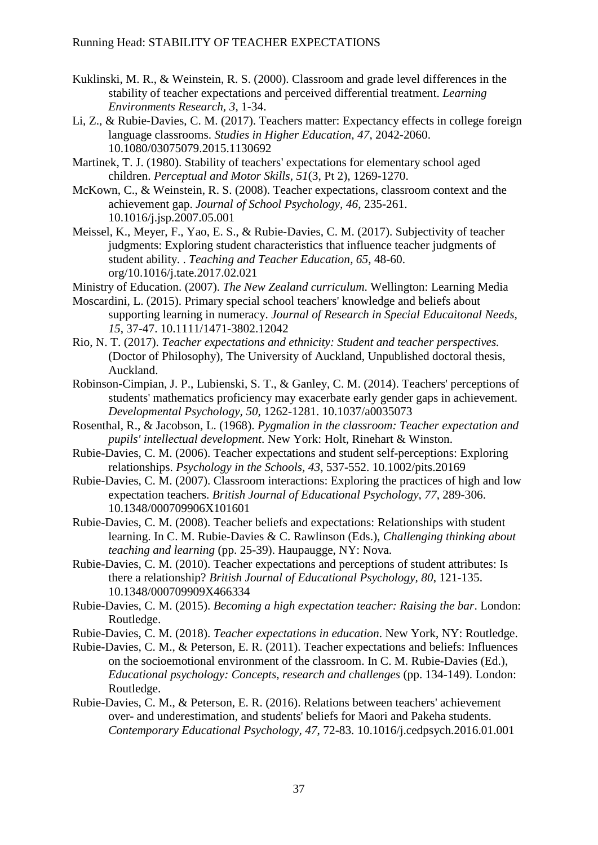- Kuklinski, M. R., & Weinstein, R. S. (2000). Classroom and grade level differences in the stability of teacher expectations and perceived differential treatment. *Learning Environments Research, 3*, 1-34.
- Li, Z., & Rubie-Davies, C. M. (2017). Teachers matter: Expectancy effects in college foreign language classrooms. *Studies in Higher Education, 47*, 2042-2060. 10.1080/03075079.2015.1130692
- Martinek, T. J. (1980). Stability of teachers' expectations for elementary school aged children. *Perceptual and Motor Skills, 51*(3, Pt 2), 1269-1270.
- McKown, C., & Weinstein, R. S. (2008). Teacher expectations, classroom context and the achievement gap. *Journal of School Psychology, 46*, 235-261. 10.1016/j.jsp.2007.05.001
- Meissel, K., Meyer, F., Yao, E. S., & Rubie-Davies, C. M. (2017). Subjectivity of teacher judgments: Exploring student characteristics that influence teacher judgments of student ability. . *Teaching and Teacher Education, 65*, 48-60. org/10.1016/j.tate.2017.02.021

Ministry of Education. (2007). *The New Zealand curriculum*. Wellington: Learning Media

- Moscardini, L. (2015). Primary special school teachers' knowledge and beliefs about supporting learning in numeracy. *Journal of Research in Special Educaitonal Needs, 15*, 37-47. 10.1111/1471-3802.12042
- Rio, N. T. (2017). *Teacher expectations and ethnicity: Student and teacher perspectives.* (Doctor of Philosophy), The University of Auckland, Unpublished doctoral thesis, Auckland.
- Robinson-Cimpian, J. P., Lubienski, S. T., & Ganley, C. M. (2014). Teachers' perceptions of students' mathematics proficiency may exacerbate early gender gaps in achievement. *Developmental Psychology, 50*, 1262-1281. 10.1037/a0035073
- Rosenthal, R., & Jacobson, L. (1968). *Pygmalion in the classroom: Teacher expectation and pupils' intellectual development*. New York: Holt, Rinehart & Winston.
- Rubie-Davies, C. M. (2006). Teacher expectations and student self-perceptions: Exploring relationships. *Psychology in the Schools, 43*, 537-552. 10.1002/pits.20169
- Rubie-Davies, C. M. (2007). Classroom interactions: Exploring the practices of high and low expectation teachers. *British Journal of Educational Psychology, 77*, 289-306. 10.1348/000709906X101601
- Rubie-Davies, C. M. (2008). Teacher beliefs and expectations: Relationships with student learning. In C. M. Rubie-Davies & C. Rawlinson (Eds.), *Challenging thinking about teaching and learning* (pp. 25-39). Haupaugge, NY: Nova.
- Rubie-Davies, C. M. (2010). Teacher expectations and perceptions of student attributes: Is there a relationship? *British Journal of Educational Psychology, 80*, 121-135. 10.1348/000709909X466334
- Rubie-Davies, C. M. (2015). *Becoming a high expectation teacher: Raising the bar*. London: Routledge.
- Rubie-Davies, C. M. (2018). *Teacher expectations in education*. New York, NY: Routledge.
- Rubie-Davies, C. M., & Peterson, E. R. (2011). Teacher expectations and beliefs: Influences on the socioemotional environment of the classroom. In C. M. Rubie-Davies (Ed.), *Educational psychology: Concepts, research and challenges* (pp. 134-149). London: Routledge.
- Rubie-Davies, C. M., & Peterson, E. R. (2016). Relations between teachers' achievement over- and underestimation, and students' beliefs for Maori and Pakeha students. *Contemporary Educational Psychology, 47*, 72-83. 10.1016/j.cedpsych.2016.01.001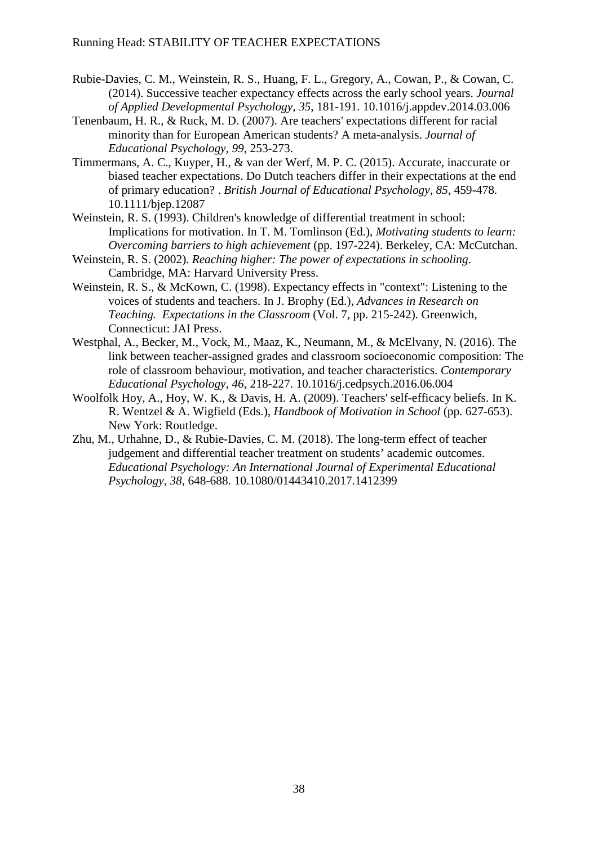- Rubie-Davies, C. M., Weinstein, R. S., Huang, F. L., Gregory, A., Cowan, P., & Cowan, C. (2014). Successive teacher expectancy effects across the early school years. *Journal of Applied Developmental Psychology, 35*, 181-191. 10.1016/j.appdev.2014.03.006
- Tenenbaum, H. R., & Ruck, M. D. (2007). Are teachers' expectations different for racial minority than for European American students? A meta-analysis. *Journal of Educational Psychology, 99*, 253-273.
- Timmermans, A. C., Kuyper, H., & van der Werf, M. P. C. (2015). Accurate, inaccurate or biased teacher expectations. Do Dutch teachers differ in their expectations at the end of primary education? . *British Journal of Educational Psychology, 85*, 459-478. 10.1111/bjep.12087
- Weinstein, R. S. (1993). Children's knowledge of differential treatment in school: Implications for motivation. In T. M. Tomlinson (Ed.), *Motivating students to learn: Overcoming barriers to high achievement* (pp. 197-224). Berkeley, CA: McCutchan.
- Weinstein, R. S. (2002). *Reaching higher: The power of expectations in schooling*. Cambridge, MA: Harvard University Press.
- Weinstein, R. S., & McKown, C. (1998). Expectancy effects in "context": Listening to the voices of students and teachers. In J. Brophy (Ed.), *Advances in Research on Teaching. Expectations in the Classroom* (Vol. 7, pp. 215-242). Greenwich, Connecticut: JAI Press.
- Westphal, A., Becker, M., Vock, M., Maaz, K., Neumann, M., & McElvany, N. (2016). The link between teacher-assigned grades and classroom socioeconomic composition: The role of classroom behaviour, motivation, and teacher characteristics. *Contemporary Educational Psychology, 46*, 218-227. 10.1016/j.cedpsych.2016.06.004
- Woolfolk Hoy, A., Hoy, W. K., & Davis, H. A. (2009). Teachers' self-efficacy beliefs. In K. R. Wentzel & A. Wigfield (Eds.), *Handbook of Motivation in School* (pp. 627-653). New York: Routledge.
- Zhu, M., Urhahne, D., & Rubie-Davies, C. M. (2018). The long-term effect of teacher judgement and differential teacher treatment on students' academic outcomes. *Educational Psychology: An International Journal of Experimental Educational Psychology, 38*, 648-688. 10.1080/01443410.2017.1412399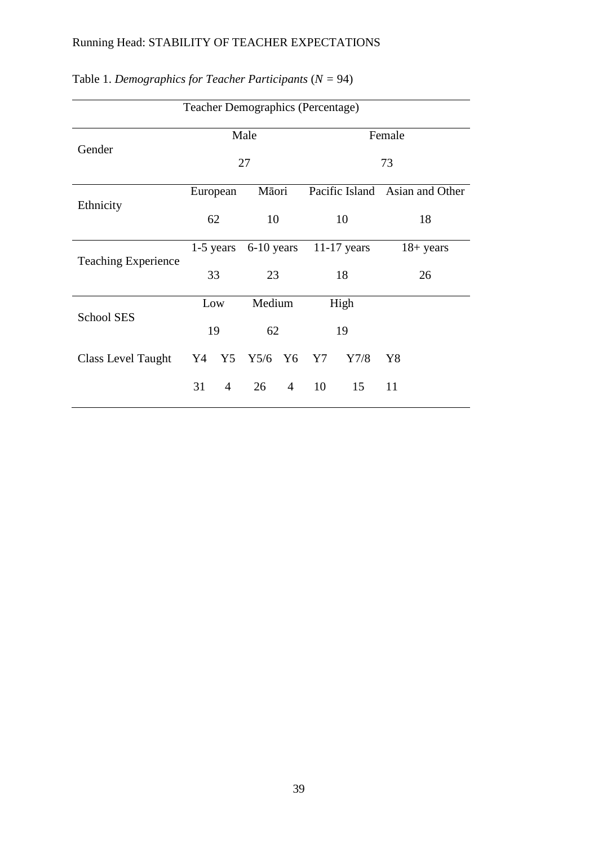| <b>Teacher Demographics (Percentage)</b> |             |                |              |                |                                |      |    |              |  |
|------------------------------------------|-------------|----------------|--------------|----------------|--------------------------------|------|----|--------------|--|
| Gender                                   | Male        |                |              |                | Female                         |      |    |              |  |
|                                          | 27          |                |              |                | 73                             |      |    |              |  |
| Ethnicity                                | European    |                | Māori        |                | Pacific Island Asian and Other |      |    |              |  |
|                                          | 62          |                | 10           |                | 10                             |      | 18 |              |  |
| <b>Teaching Experience</b>               | $1-5$ years |                | $6-10$ years |                | $11-17$ years                  |      |    | $18 + years$ |  |
|                                          | 33          |                | 23           |                | 18                             |      |    | 26           |  |
| <b>School SES</b>                        | Low         |                | Medium       |                | High                           |      |    |              |  |
|                                          | 19          |                | 62           |                | 19                             |      |    |              |  |
| <b>Class Level Taught</b>                | Y4          | Y5             | Y5/6 Y6      |                | Y7                             | Y7/8 | Y8 |              |  |
|                                          | 31          | $\overline{4}$ | 26           | $\overline{4}$ | 10                             | 15   | 11 |              |  |

# Table 1. *Demographics for Teacher Participants* (*N =* 94)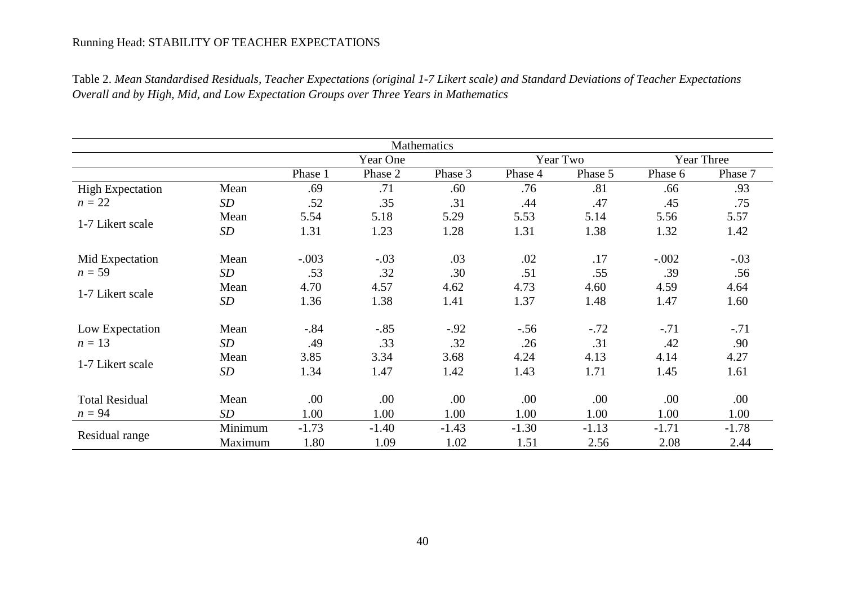| Mathematics             |           |          |         |         |         |          |            |         |  |
|-------------------------|-----------|----------|---------|---------|---------|----------|------------|---------|--|
|                         |           | Year One |         |         |         | Year Two | Year Three |         |  |
|                         |           | Phase 1  | Phase 2 | Phase 3 | Phase 4 | Phase 5  | Phase 6    | Phase 7 |  |
| <b>High Expectation</b> | Mean      | .69      | .71     | .60     | .76     | .81      | .66        | .93     |  |
| $n = 22$                | SD        | .52      | .35     | .31     | .44     | .47      | .45        | .75     |  |
| 1-7 Likert scale        | Mean      | 5.54     | 5.18    | 5.29    | 5.53    | 5.14     | 5.56       | 5.57    |  |
|                         | <b>SD</b> | 1.31     | 1.23    | 1.28    | 1.31    | 1.38     | 1.32       | 1.42    |  |
| Mid Expectation         | Mean      | $-.003$  | $-.03$  | .03     | .02     | .17      | $-.002$    | $-.03$  |  |
| $n=59$                  | SD        | .53      | .32     | .30     | .51     | .55      | .39        | .56     |  |
| 1-7 Likert scale        | Mean      | 4.70     | 4.57    | 4.62    | 4.73    | 4.60     | 4.59       | 4.64    |  |
|                         | SD        | 1.36     | 1.38    | 1.41    | 1.37    | 1.48     | 1.47       | 1.60    |  |
| Low Expectation         | Mean      | $-.84$   | $-.85$  | $-.92$  | $-.56$  | $-.72$   | $-.71$     | $-.71$  |  |
| $n=13$                  | SD        | .49      | .33     | .32     | .26     | .31      | .42        | .90     |  |
| 1-7 Likert scale        | Mean      | 3.85     | 3.34    | 3.68    | 4.24    | 4.13     | 4.14       | 4.27    |  |
|                         | <b>SD</b> | 1.34     | 1.47    | 1.42    | 1.43    | 1.71     | 1.45       | 1.61    |  |
| <b>Total Residual</b>   | Mean      | .00      | .00     | .00     | .00     | .00      | .00        | .00.    |  |
| $n = 94$                | SD        | 1.00     | 1.00    | 1.00    | 1.00    | 1.00     | 1.00       | 1.00    |  |
| Residual range          | Minimum   | $-1.73$  | $-1.40$ | $-1.43$ | $-1.30$ | $-1.13$  | $-1.71$    | $-1.78$ |  |
|                         | Maximum   | 1.80     | 1.09    | 1.02    | 1.51    | 2.56     | 2.08       | 2.44    |  |

Table 2. *Mean Standardised Residuals, Teacher Expectations (original 1-7 Likert scale) and Standard Deviations of Teacher Expectations Overall and by High, Mid, and Low Expectation Groups over Three Years in Mathematics*